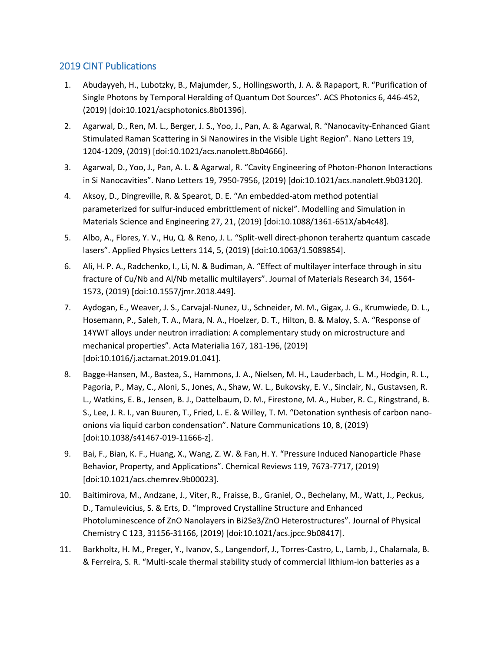## 2019 CINT Publications

- 1. Abudayyeh, H., Lubotzky, B., Majumder, S., Hollingsworth, J. A. & Rapaport, R. "Purification of Single Photons by Temporal Heralding of Quantum Dot Sources". ACS Photonics 6, 446-452, (2019) [doi:10.1021/acsphotonics.8b01396].
- 2. Agarwal, D., Ren, M. L., Berger, J. S., Yoo, J., Pan, A. & Agarwal, R. "Nanocavity-Enhanced Giant Stimulated Raman Scattering in Si Nanowires in the Visible Light Region". Nano Letters 19, 1204-1209, (2019) [doi:10.1021/acs.nanolett.8b04666].
- 3. Agarwal, D., Yoo, J., Pan, A. L. & Agarwal, R. "Cavity Engineering of Photon-Phonon Interactions in Si Nanocavities". Nano Letters 19, 7950-7956, (2019) [doi:10.1021/acs.nanolett.9b03120].
- 4. Aksoy, D., Dingreville, R. & Spearot, D. E. "An embedded-atom method potential parameterized for sulfur-induced embrittlement of nickel". Modelling and Simulation in Materials Science and Engineering 27, 21, (2019) [doi:10.1088/1361-651X/ab4c48].
- 5. Albo, A., Flores, Y. V., Hu, Q. & Reno, J. L. "Split-well direct-phonon terahertz quantum cascade lasers". Applied Physics Letters 114, 5, (2019) [doi:10.1063/1.5089854].
- 6. Ali, H. P. A., Radchenko, I., Li, N. & Budiman, A. "Effect of multilayer interface through in situ fracture of Cu/Nb and Al/Nb metallic multilayers". Journal of Materials Research 34, 1564- 1573, (2019) [doi:10.1557/jmr.2018.449].
- 7. Aydogan, E., Weaver, J. S., Carvajal-Nunez, U., Schneider, M. M., Gigax, J. G., Krumwiede, D. L., Hosemann, P., Saleh, T. A., Mara, N. A., Hoelzer, D. T., Hilton, B. & Maloy, S. A. "Response of 14YWT alloys under neutron irradiation: A complementary study on microstructure and mechanical properties". Acta Materialia 167, 181-196, (2019) [doi:10.1016/j.actamat.2019.01.041].
- 8. Bagge-Hansen, M., Bastea, S., Hammons, J. A., Nielsen, M. H., Lauderbach, L. M., Hodgin, R. L., Pagoria, P., May, C., Aloni, S., Jones, A., Shaw, W. L., Bukovsky, E. V., Sinclair, N., Gustavsen, R. L., Watkins, E. B., Jensen, B. J., Dattelbaum, D. M., Firestone, M. A., Huber, R. C., Ringstrand, B. S., Lee, J. R. I., van Buuren, T., Fried, L. E. & Willey, T. M. "Detonation synthesis of carbon nanoonions via liquid carbon condensation". Nature Communications 10, 8, (2019) [doi:10.1038/s41467-019-11666-z].
- 9. Bai, F., Bian, K. F., Huang, X., Wang, Z. W. & Fan, H. Y. "Pressure Induced Nanoparticle Phase Behavior, Property, and Applications". Chemical Reviews 119, 7673-7717, (2019) [doi:10.1021/acs.chemrev.9b00023].
- 10. Baitimirova, M., Andzane, J., Viter, R., Fraisse, B., Graniel, O., Bechelany, M., Watt, J., Peckus, D., Tamulevicius, S. & Erts, D. "Improved Crystalline Structure and Enhanced Photoluminescence of ZnO Nanolayers in Bi2Se3/ZnO Heterostructures". Journal of Physical Chemistry C 123, 31156-31166, (2019) [doi:10.1021/acs.jpcc.9b08417].
- 11. Barkholtz, H. M., Preger, Y., Ivanov, S., Langendorf, J., Torres-Castro, L., Lamb, J., Chalamala, B. & Ferreira, S. R. "Multi-scale thermal stability study of commercial lithium-ion batteries as a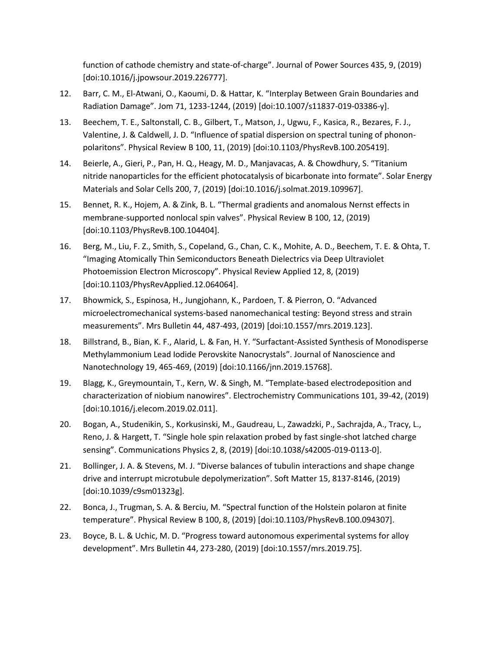function of cathode chemistry and state-of-charge". Journal of Power Sources 435, 9, (2019) [doi:10.1016/j.jpowsour.2019.226777].

- 12. Barr, C. M., El-Atwani, O., Kaoumi, D. & Hattar, K. "Interplay Between Grain Boundaries and Radiation Damage". Jom 71, 1233-1244, (2019) [doi:10.1007/s11837-019-03386-y].
- 13. Beechem, T. E., Saltonstall, C. B., Gilbert, T., Matson, J., Ugwu, F., Kasica, R., Bezares, F. J., Valentine, J. & Caldwell, J. D. "Influence of spatial dispersion on spectral tuning of phononpolaritons". Physical Review B 100, 11, (2019) [doi:10.1103/PhysRevB.100.205419].
- 14. Beierle, A., Gieri, P., Pan, H. Q., Heagy, M. D., Manjavacas, A. & Chowdhury, S. "Titanium nitride nanoparticles for the efficient photocatalysis of bicarbonate into formate". Solar Energy Materials and Solar Cells 200, 7, (2019) [doi:10.1016/j.solmat.2019.109967].
- 15. Bennet, R. K., Hojem, A. & Zink, B. L. "Thermal gradients and anomalous Nernst effects in membrane-supported nonlocal spin valves". Physical Review B 100, 12, (2019) [doi:10.1103/PhysRevB.100.104404].
- 16. Berg, M., Liu, F. Z., Smith, S., Copeland, G., Chan, C. K., Mohite, A. D., Beechem, T. E. & Ohta, T. "Imaging Atomically Thin Semiconductors Beneath Dielectrics via Deep Ultraviolet Photoemission Electron Microscopy". Physical Review Applied 12, 8, (2019) [doi:10.1103/PhysRevApplied.12.064064].
- 17. Bhowmick, S., Espinosa, H., Jungjohann, K., Pardoen, T. & Pierron, O. "Advanced microelectromechanical systems-based nanomechanical testing: Beyond stress and strain measurements". Mrs Bulletin 44, 487-493, (2019) [doi:10.1557/mrs.2019.123].
- 18. Billstrand, B., Bian, K. F., Alarid, L. & Fan, H. Y. "Surfactant-Assisted Synthesis of Monodisperse Methylammonium Lead Iodide Perovskite Nanocrystals". Journal of Nanoscience and Nanotechnology 19, 465-469, (2019) [doi:10.1166/jnn.2019.15768].
- 19. Blagg, K., Greymountain, T., Kern, W. & Singh, M. "Template-based electrodeposition and characterization of niobium nanowires". Electrochemistry Communications 101, 39-42, (2019) [doi:10.1016/j.elecom.2019.02.011].
- 20. Bogan, A., Studenikin, S., Korkusinski, M., Gaudreau, L., Zawadzki, P., Sachrajda, A., Tracy, L., Reno, J. & Hargett, T. "Single hole spin relaxation probed by fast single-shot latched charge sensing". Communications Physics 2, 8, (2019) [doi:10.1038/s42005-019-0113-0].
- 21. Bollinger, J. A. & Stevens, M. J. "Diverse balances of tubulin interactions and shape change drive and interrupt microtubule depolymerization". Soft Matter 15, 8137-8146, (2019) [doi:10.1039/c9sm01323g].
- 22. Bonca, J., Trugman, S. A. & Berciu, M. "Spectral function of the Holstein polaron at finite temperature". Physical Review B 100, 8, (2019) [doi:10.1103/PhysRevB.100.094307].
- 23. Boyce, B. L. & Uchic, M. D. "Progress toward autonomous experimental systems for alloy development". Mrs Bulletin 44, 273-280, (2019) [doi:10.1557/mrs.2019.75].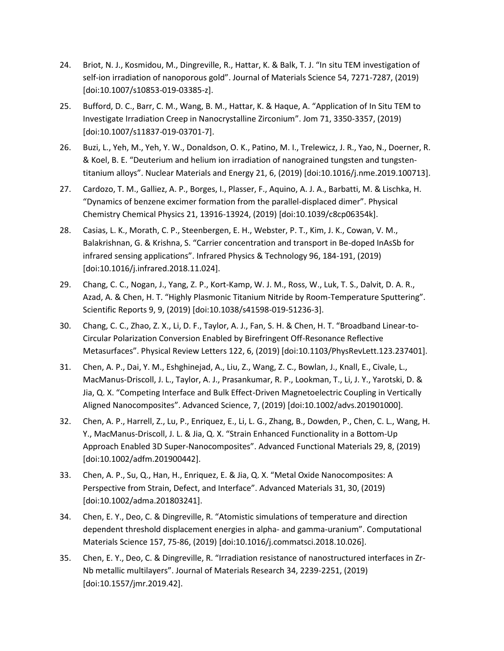- 24. Briot, N. J., Kosmidou, M., Dingreville, R., Hattar, K. & Balk, T. J. "In situ TEM investigation of self-ion irradiation of nanoporous gold". Journal of Materials Science 54, 7271-7287, (2019) [doi:10.1007/s10853-019-03385-z].
- 25. Bufford, D. C., Barr, C. M., Wang, B. M., Hattar, K. & Haque, A. "Application of In Situ TEM to Investigate Irradiation Creep in Nanocrystalline Zirconium". Jom 71, 3350-3357, (2019) [doi:10.1007/s11837-019-03701-7].
- 26. Buzi, L., Yeh, M., Yeh, Y. W., Donaldson, O. K., Patino, M. I., Trelewicz, J. R., Yao, N., Doerner, R. & Koel, B. E. "Deuterium and helium ion irradiation of nanograined tungsten and tungstentitanium alloys". Nuclear Materials and Energy 21, 6, (2019) [doi:10.1016/j.nme.2019.100713].
- 27. Cardozo, T. M., Galliez, A. P., Borges, I., Plasser, F., Aquino, A. J. A., Barbatti, M. & Lischka, H. "Dynamics of benzene excimer formation from the parallel-displaced dimer". Physical Chemistry Chemical Physics 21, 13916-13924, (2019) [doi:10.1039/c8cp06354k].
- 28. Casias, L. K., Morath, C. P., Steenbergen, E. H., Webster, P. T., Kim, J. K., Cowan, V. M., Balakrishnan, G. & Krishna, S. "Carrier concentration and transport in Be-doped InAsSb for infrared sensing applications". Infrared Physics & Technology 96, 184-191, (2019) [doi:10.1016/j.infrared.2018.11.024].
- 29. Chang, C. C., Nogan, J., Yang, Z. P., Kort-Kamp, W. J. M., Ross, W., Luk, T. S., Dalvit, D. A. R., Azad, A. & Chen, H. T. "Highly Plasmonic Titanium Nitride by Room-Temperature Sputtering". Scientific Reports 9, 9, (2019) [doi:10.1038/s41598-019-51236-3].
- 30. Chang, C. C., Zhao, Z. X., Li, D. F., Taylor, A. J., Fan, S. H. & Chen, H. T. "Broadband Linear-to-Circular Polarization Conversion Enabled by Birefringent Off-Resonance Reflective Metasurfaces". Physical Review Letters 122, 6, (2019) [doi:10.1103/PhysRevLett.123.237401].
- 31. Chen, A. P., Dai, Y. M., Eshghinejad, A., Liu, Z., Wang, Z. C., Bowlan, J., Knall, E., Civale, L., MacManus-Driscoll, J. L., Taylor, A. J., Prasankumar, R. P., Lookman, T., Li, J. Y., Yarotski, D. & Jia, Q. X. "Competing Interface and Bulk Effect-Driven Magnetoelectric Coupling in Vertically Aligned Nanocomposites". Advanced Science, 7, (2019) [doi:10.1002/advs.201901000].
- 32. Chen, A. P., Harrell, Z., Lu, P., Enriquez, E., Li, L. G., Zhang, B., Dowden, P., Chen, C. L., Wang, H. Y., MacManus-Driscoll, J. L. & Jia, Q. X. "Strain Enhanced Functionality in a Bottom-Up Approach Enabled 3D Super-Nanocomposites". Advanced Functional Materials 29, 8, (2019) [doi:10.1002/adfm.201900442].
- 33. Chen, A. P., Su, Q., Han, H., Enriquez, E. & Jia, Q. X. "Metal Oxide Nanocomposites: A Perspective from Strain, Defect, and Interface". Advanced Materials 31, 30, (2019) [doi:10.1002/adma.201803241].
- 34. Chen, E. Y., Deo, C. & Dingreville, R. "Atomistic simulations of temperature and direction dependent threshold displacement energies in alpha- and gamma-uranium". Computational Materials Science 157, 75-86, (2019) [doi:10.1016/j.commatsci.2018.10.026].
- 35. Chen, E. Y., Deo, C. & Dingreville, R. "Irradiation resistance of nanostructured interfaces in Zr-Nb metallic multilayers". Journal of Materials Research 34, 2239-2251, (2019) [doi:10.1557/jmr.2019.42].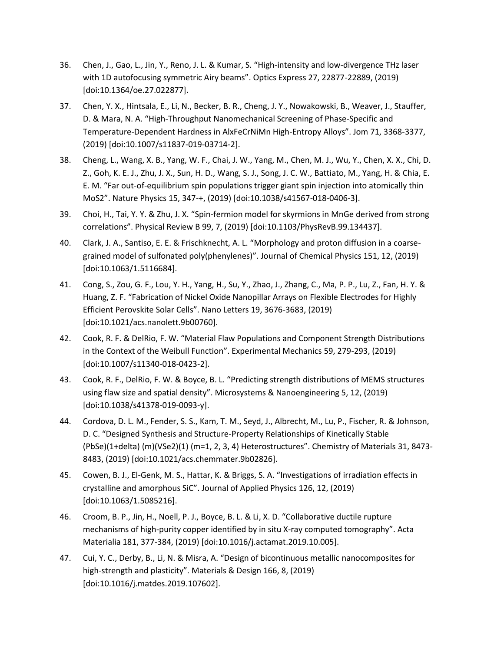- 36. Chen, J., Gao, L., Jin, Y., Reno, J. L. & Kumar, S. "High-intensity and low-divergence THz laser with 1D autofocusing symmetric Airy beams". Optics Express 27, 22877-22889, (2019) [doi:10.1364/oe.27.022877].
- 37. Chen, Y. X., Hintsala, E., Li, N., Becker, B. R., Cheng, J. Y., Nowakowski, B., Weaver, J., Stauffer, D. & Mara, N. A. "High-Throughput Nanomechanical Screening of Phase-Specific and Temperature-Dependent Hardness in AlxFeCrNiMn High-Entropy Alloys". Jom 71, 3368-3377, (2019) [doi:10.1007/s11837-019-03714-2].
- 38. Cheng, L., Wang, X. B., Yang, W. F., Chai, J. W., Yang, M., Chen, M. J., Wu, Y., Chen, X. X., Chi, D. Z., Goh, K. E. J., Zhu, J. X., Sun, H. D., Wang, S. J., Song, J. C. W., Battiato, M., Yang, H. & Chia, E. E. M. "Far out-of-equilibrium spin populations trigger giant spin injection into atomically thin MoS2". Nature Physics 15, 347-+, (2019) [doi:10.1038/s41567-018-0406-3].
- 39. Choi, H., Tai, Y. Y. & Zhu, J. X. "Spin-fermion model for skyrmions in MnGe derived from strong correlations". Physical Review B 99, 7, (2019) [doi:10.1103/PhysRevB.99.134437].
- 40. Clark, J. A., Santiso, E. E. & Frischknecht, A. L. "Morphology and proton diffusion in a coarsegrained model of sulfonated poly(phenylenes)". Journal of Chemical Physics 151, 12, (2019) [doi:10.1063/1.5116684].
- 41. Cong, S., Zou, G. F., Lou, Y. H., Yang, H., Su, Y., Zhao, J., Zhang, C., Ma, P. P., Lu, Z., Fan, H. Y. & Huang, Z. F. "Fabrication of Nickel Oxide Nanopillar Arrays on Flexible Electrodes for Highly Efficient Perovskite Solar Cells". Nano Letters 19, 3676-3683, (2019) [doi:10.1021/acs.nanolett.9b00760].
- 42. Cook, R. F. & DelRio, F. W. "Material Flaw Populations and Component Strength Distributions in the Context of the Weibull Function". Experimental Mechanics 59, 279-293, (2019) [doi:10.1007/s11340-018-0423-2].
- 43. Cook, R. F., DelRio, F. W. & Boyce, B. L. "Predicting strength distributions of MEMS structures using flaw size and spatial density". Microsystems & Nanoengineering 5, 12, (2019) [doi:10.1038/s41378-019-0093-y].
- 44. Cordova, D. L. M., Fender, S. S., Kam, T. M., Seyd, J., Albrecht, M., Lu, P., Fischer, R. & Johnson, D. C. "Designed Synthesis and Structure-Property Relationships of Kinetically Stable (PbSe)(1+delta) (m)(VSe2)(1) (m=1, 2, 3, 4) Heterostructures". Chemistry of Materials 31, 8473- 8483, (2019) [doi:10.1021/acs.chemmater.9b02826].
- 45. Cowen, B. J., El-Genk, M. S., Hattar, K. & Briggs, S. A. "Investigations of irradiation effects in crystalline and amorphous SiC". Journal of Applied Physics 126, 12, (2019) [doi:10.1063/1.5085216].
- 46. Croom, B. P., Jin, H., Noell, P. J., Boyce, B. L. & Li, X. D. "Collaborative ductile rupture mechanisms of high-purity copper identified by in situ X-ray computed tomography". Acta Materialia 181, 377-384, (2019) [doi:10.1016/j.actamat.2019.10.005].
- 47. Cui, Y. C., Derby, B., Li, N. & Misra, A. "Design of bicontinuous metallic nanocomposites for high-strength and plasticity". Materials & Design 166, 8, (2019) [doi:10.1016/j.matdes.2019.107602].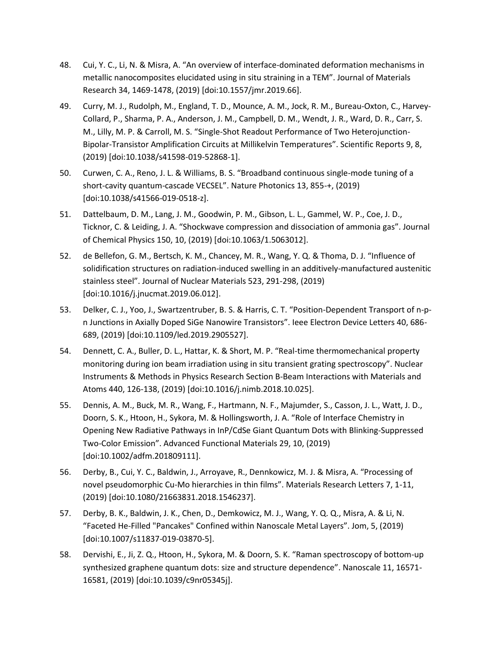- 48. Cui, Y. C., Li, N. & Misra, A. "An overview of interface-dominated deformation mechanisms in metallic nanocomposites elucidated using in situ straining in a TEM". Journal of Materials Research 34, 1469-1478, (2019) [doi:10.1557/jmr.2019.66].
- 49. Curry, M. J., Rudolph, M., England, T. D., Mounce, A. M., Jock, R. M., Bureau-Oxton, C., Harvey-Collard, P., Sharma, P. A., Anderson, J. M., Campbell, D. M., Wendt, J. R., Ward, D. R., Carr, S. M., Lilly, M. P. & Carroll, M. S. "Single-Shot Readout Performance of Two Heterojunction-Bipolar-Transistor Amplification Circuits at Millikelvin Temperatures". Scientific Reports 9, 8, (2019) [doi:10.1038/s41598-019-52868-1].
- 50. Curwen, C. A., Reno, J. L. & Williams, B. S. "Broadband continuous single-mode tuning of a short-cavity quantum-cascade VECSEL". Nature Photonics 13, 855-+, (2019) [doi:10.1038/s41566-019-0518-z].
- 51. Dattelbaum, D. M., Lang, J. M., Goodwin, P. M., Gibson, L. L., Gammel, W. P., Coe, J. D., Ticknor, C. & Leiding, J. A. "Shockwave compression and dissociation of ammonia gas". Journal of Chemical Physics 150, 10, (2019) [doi:10.1063/1.5063012].
- 52. de Bellefon, G. M., Bertsch, K. M., Chancey, M. R., Wang, Y. Q. & Thoma, D. J. "Influence of solidification structures on radiation-induced swelling in an additively-manufactured austenitic stainless steel". Journal of Nuclear Materials 523, 291-298, (2019) [doi:10.1016/j.jnucmat.2019.06.012].
- 53. Delker, C. J., Yoo, J., Swartzentruber, B. S. & Harris, C. T. "Position-Dependent Transport of n-pn Junctions in Axially Doped SiGe Nanowire Transistors". Ieee Electron Device Letters 40, 686- 689, (2019) [doi:10.1109/led.2019.2905527].
- 54. Dennett, C. A., Buller, D. L., Hattar, K. & Short, M. P. "Real-time thermomechanical property monitoring during ion beam irradiation using in situ transient grating spectroscopy". Nuclear Instruments & Methods in Physics Research Section B-Beam Interactions with Materials and Atoms 440, 126-138, (2019) [doi:10.1016/j.nimb.2018.10.025].
- 55. Dennis, A. M., Buck, M. R., Wang, F., Hartmann, N. F., Majumder, S., Casson, J. L., Watt, J. D., Doorn, S. K., Htoon, H., Sykora, M. & Hollingsworth, J. A. "Role of Interface Chemistry in Opening New Radiative Pathways in InP/CdSe Giant Quantum Dots with Blinking-Suppressed Two-Color Emission". Advanced Functional Materials 29, 10, (2019) [doi:10.1002/adfm.201809111].
- 56. Derby, B., Cui, Y. C., Baldwin, J., Arroyave, R., Dennkowicz, M. J. & Misra, A. "Processing of novel pseudomorphic Cu-Mo hierarchies in thin films". Materials Research Letters 7, 1-11, (2019) [doi:10.1080/21663831.2018.1546237].
- 57. Derby, B. K., Baldwin, J. K., Chen, D., Demkowicz, M. J., Wang, Y. Q. Q., Misra, A. & Li, N. "Faceted He-Filled "Pancakes" Confined within Nanoscale Metal Layers". Jom, 5, (2019) [doi:10.1007/s11837-019-03870-5].
- 58. Dervishi, E., Ji, Z. Q., Htoon, H., Sykora, M. & Doorn, S. K. "Raman spectroscopy of bottom-up synthesized graphene quantum dots: size and structure dependence". Nanoscale 11, 16571- 16581, (2019) [doi:10.1039/c9nr05345j].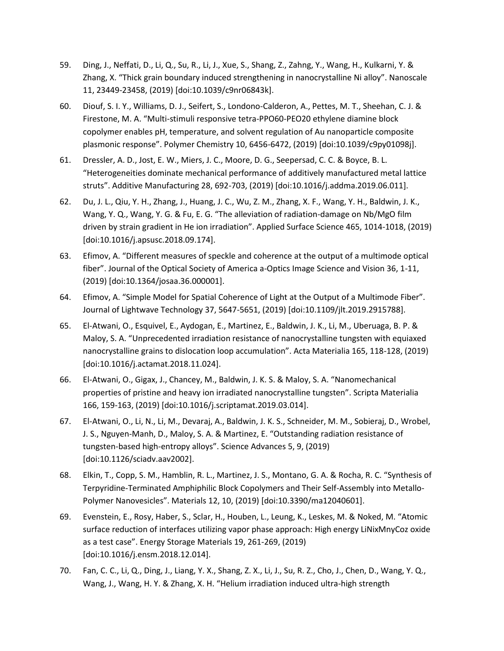- 59. Ding, J., Neffati, D., Li, Q., Su, R., Li, J., Xue, S., Shang, Z., Zahng, Y., Wang, H., Kulkarni, Y. & Zhang, X. "Thick grain boundary induced strengthening in nanocrystalline Ni alloy". Nanoscale 11, 23449-23458, (2019) [doi:10.1039/c9nr06843k].
- 60. Diouf, S. I. Y., Williams, D. J., Seifert, S., Londono-Calderon, A., Pettes, M. T., Sheehan, C. J. & Firestone, M. A. "Multi-stimuli responsive tetra-PPO60-PEO20 ethylene diamine block copolymer enables pH, temperature, and solvent regulation of Au nanoparticle composite plasmonic response". Polymer Chemistry 10, 6456-6472, (2019) [doi:10.1039/c9py01098j].
- 61. Dressler, A. D., Jost, E. W., Miers, J. C., Moore, D. G., Seepersad, C. C. & Boyce, B. L. "Heterogeneities dominate mechanical performance of additively manufactured metal lattice struts". Additive Manufacturing 28, 692-703, (2019) [doi:10.1016/j.addma.2019.06.011].
- 62. Du, J. L., Qiu, Y. H., Zhang, J., Huang, J. C., Wu, Z. M., Zhang, X. F., Wang, Y. H., Baldwin, J. K., Wang, Y. Q., Wang, Y. G. & Fu, E. G. "The alleviation of radiation-damage on Nb/MgO film driven by strain gradient in He ion irradiation". Applied Surface Science 465, 1014-1018, (2019) [doi:10.1016/j.apsusc.2018.09.174].
- 63. Efimov, A. "Different measures of speckle and coherence at the output of a multimode optical fiber". Journal of the Optical Society of America a-Optics Image Science and Vision 36, 1-11, (2019) [doi:10.1364/josaa.36.000001].
- 64. Efimov, A. "Simple Model for Spatial Coherence of Light at the Output of a Multimode Fiber". Journal of Lightwave Technology 37, 5647-5651, (2019) [doi:10.1109/jlt.2019.2915788].
- 65. El-Atwani, O., Esquivel, E., Aydogan, E., Martinez, E., Baldwin, J. K., Li, M., Uberuaga, B. P. & Maloy, S. A. "Unprecedented irradiation resistance of nanocrystalline tungsten with equiaxed nanocrystalline grains to dislocation loop accumulation". Acta Materialia 165, 118-128, (2019) [doi:10.1016/j.actamat.2018.11.024].
- 66. El-Atwani, O., Gigax, J., Chancey, M., Baldwin, J. K. S. & Maloy, S. A. "Nanomechanical properties of pristine and heavy ion irradiated nanocrystalline tungsten". Scripta Materialia 166, 159-163, (2019) [doi:10.1016/j.scriptamat.2019.03.014].
- 67. El-Atwani, O., Li, N., Li, M., Devaraj, A., Baldwin, J. K. S., Schneider, M. M., Sobieraj, D., Wrobel, J. S., Nguyen-Manh, D., Maloy, S. A. & Martinez, E. "Outstanding radiation resistance of tungsten-based high-entropy alloys". Science Advances 5, 9, (2019) [doi:10.1126/sciadv.aav2002].
- 68. Elkin, T., Copp, S. M., Hamblin, R. L., Martinez, J. S., Montano, G. A. & Rocha, R. C. "Synthesis of Terpyridine-Terminated Amphiphilic Block Copolymers and Their Self-Assembly into Metallo-Polymer Nanovesicles". Materials 12, 10, (2019) [doi:10.3390/ma12040601].
- 69. Evenstein, E., Rosy, Haber, S., Sclar, H., Houben, L., Leung, K., Leskes, M. & Noked, M. "Atomic surface reduction of interfaces utilizing vapor phase approach: High energy LiNixMnyCoz oxide as a test case". Energy Storage Materials 19, 261-269, (2019) [doi:10.1016/j.ensm.2018.12.014].
- 70. Fan, C. C., Li, Q., Ding, J., Liang, Y. X., Shang, Z. X., Li, J., Su, R. Z., Cho, J., Chen, D., Wang, Y. Q., Wang, J., Wang, H. Y. & Zhang, X. H. "Helium irradiation induced ultra-high strength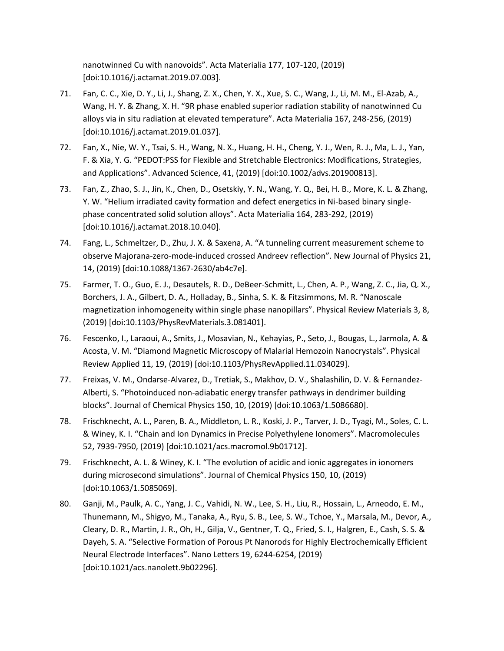nanotwinned Cu with nanovoids". Acta Materialia 177, 107-120, (2019) [doi:10.1016/j.actamat.2019.07.003].

- 71. Fan, C. C., Xie, D. Y., Li, J., Shang, Z. X., Chen, Y. X., Xue, S. C., Wang, J., Li, M. M., El-Azab, A., Wang, H. Y. & Zhang, X. H. "9R phase enabled superior radiation stability of nanotwinned Cu alloys via in situ radiation at elevated temperature". Acta Materialia 167, 248-256, (2019) [doi:10.1016/j.actamat.2019.01.037].
- 72. Fan, X., Nie, W. Y., Tsai, S. H., Wang, N. X., Huang, H. H., Cheng, Y. J., Wen, R. J., Ma, L. J., Yan, F. & Xia, Y. G. "PEDOT:PSS for Flexible and Stretchable Electronics: Modifications, Strategies, and Applications". Advanced Science, 41, (2019) [doi:10.1002/advs.201900813].
- 73. Fan, Z., Zhao, S. J., Jin, K., Chen, D., Osetskiy, Y. N., Wang, Y. Q., Bei, H. B., More, K. L. & Zhang, Y. W. "Helium irradiated cavity formation and defect energetics in Ni-based binary singlephase concentrated solid solution alloys". Acta Materialia 164, 283-292, (2019) [doi:10.1016/j.actamat.2018.10.040].
- 74. Fang, L., Schmeltzer, D., Zhu, J. X. & Saxena, A. "A tunneling current measurement scheme to observe Majorana-zero-mode-induced crossed Andreev reflection". New Journal of Physics 21, 14, (2019) [doi:10.1088/1367-2630/ab4c7e].
- 75. Farmer, T. O., Guo, E. J., Desautels, R. D., DeBeer-Schmitt, L., Chen, A. P., Wang, Z. C., Jia, Q. X., Borchers, J. A., Gilbert, D. A., Holladay, B., Sinha, S. K. & Fitzsimmons, M. R. "Nanoscale magnetization inhomogeneity within single phase nanopillars". Physical Review Materials 3, 8, (2019) [doi:10.1103/PhysRevMaterials.3.081401].
- 76. Fescenko, I., Laraoui, A., Smits, J., Mosavian, N., Kehayias, P., Seto, J., Bougas, L., Jarmola, A. & Acosta, V. M. "Diamond Magnetic Microscopy of Malarial Hemozoin Nanocrystals". Physical Review Applied 11, 19, (2019) [doi:10.1103/PhysRevApplied.11.034029].
- 77. Freixas, V. M., Ondarse-Alvarez, D., Tretiak, S., Makhov, D. V., Shalashilin, D. V. & Fernandez-Alberti, S. "Photoinduced non-adiabatic energy transfer pathways in dendrimer building blocks". Journal of Chemical Physics 150, 10, (2019) [doi:10.1063/1.5086680].
- 78. Frischknecht, A. L., Paren, B. A., Middleton, L. R., Koski, J. P., Tarver, J. D., Tyagi, M., Soles, C. L. & Winey, K. I. "Chain and Ion Dynamics in Precise Polyethylene Ionomers". Macromolecules 52, 7939-7950, (2019) [doi:10.1021/acs.macromol.9b01712].
- 79. Frischknecht, A. L. & Winey, K. I. "The evolution of acidic and ionic aggregates in ionomers during microsecond simulations". Journal of Chemical Physics 150, 10, (2019) [doi:10.1063/1.5085069].
- 80. Ganji, M., Paulk, A. C., Yang, J. C., Vahidi, N. W., Lee, S. H., Liu, R., Hossain, L., Arneodo, E. M., Thunemann, M., Shigyo, M., Tanaka, A., Ryu, S. B., Lee, S. W., Tchoe, Y., Marsala, M., Devor, A., Cleary, D. R., Martin, J. R., Oh, H., Gilja, V., Gentner, T. Q., Fried, S. I., Halgren, E., Cash, S. S. & Dayeh, S. A. "Selective Formation of Porous Pt Nanorods for Highly Electrochemically Efficient Neural Electrode Interfaces". Nano Letters 19, 6244-6254, (2019) [doi:10.1021/acs.nanolett.9b02296].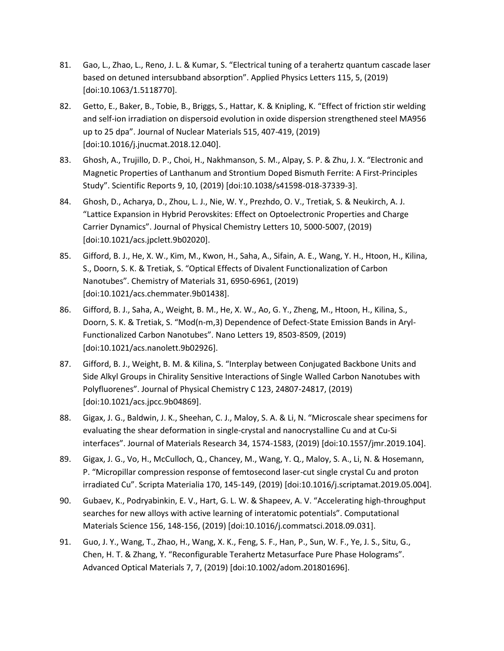- 81. Gao, L., Zhao, L., Reno, J. L. & Kumar, S. "Electrical tuning of a terahertz quantum cascade laser based on detuned intersubband absorption". Applied Physics Letters 115, 5, (2019) [doi:10.1063/1.5118770].
- 82. Getto, E., Baker, B., Tobie, B., Briggs, S., Hattar, K. & Knipling, K. "Effect of friction stir welding and self-ion irradiation on dispersoid evolution in oxide dispersion strengthened steel MA956 up to 25 dpa". Journal of Nuclear Materials 515, 407-419, (2019) [doi:10.1016/j.jnucmat.2018.12.040].
- 83. Ghosh, A., Trujillo, D. P., Choi, H., Nakhmanson, S. M., Alpay, S. P. & Zhu, J. X. "Electronic and Magnetic Properties of Lanthanum and Strontium Doped Bismuth Ferrite: A First-Principles Study". Scientific Reports 9, 10, (2019) [doi:10.1038/s41598-018-37339-3].
- 84. Ghosh, D., Acharya, D., Zhou, L. J., Nie, W. Y., Prezhdo, O. V., Tretiak, S. & Neukirch, A. J. "Lattice Expansion in Hybrid Perovskites: Effect on Optoelectronic Properties and Charge Carrier Dynamics". Journal of Physical Chemistry Letters 10, 5000-5007, (2019) [doi:10.1021/acs.jpclett.9b02020].
- 85. Gifford, B. J., He, X. W., Kim, M., Kwon, H., Saha, A., Sifain, A. E., Wang, Y. H., Htoon, H., Kilina, S., Doorn, S. K. & Tretiak, S. "Optical Effects of Divalent Functionalization of Carbon Nanotubes". Chemistry of Materials 31, 6950-6961, (2019) [doi:10.1021/acs.chemmater.9b01438].
- 86. Gifford, B. J., Saha, A., Weight, B. M., He, X. W., Ao, G. Y., Zheng, M., Htoon, H., Kilina, S., Doorn, S. K. & Tretiak, S. "Mod(n-m,3) Dependence of Defect-State Emission Bands in Aryl-Functionalized Carbon Nanotubes". Nano Letters 19, 8503-8509, (2019) [doi:10.1021/acs.nanolett.9b02926].
- 87. Gifford, B. J., Weight, B. M. & Kilina, S. "Interplay between Conjugated Backbone Units and Side Alkyl Groups in Chirality Sensitive Interactions of Single Walled Carbon Nanotubes with Polyfluorenes". Journal of Physical Chemistry C 123, 24807-24817, (2019) [doi:10.1021/acs.jpcc.9b04869].
- 88. Gigax, J. G., Baldwin, J. K., Sheehan, C. J., Maloy, S. A. & Li, N. "Microscale shear specimens for evaluating the shear deformation in single-crystal and nanocrystalline Cu and at Cu-Si interfaces". Journal of Materials Research 34, 1574-1583, (2019) [doi:10.1557/jmr.2019.104].
- 89. Gigax, J. G., Vo, H., McCulloch, Q., Chancey, M., Wang, Y. Q., Maloy, S. A., Li, N. & Hosemann, P. "Micropillar compression response of femtosecond laser-cut single crystal Cu and proton irradiated Cu". Scripta Materialia 170, 145-149, (2019) [doi:10.1016/j.scriptamat.2019.05.004].
- 90. Gubaev, K., Podryabinkin, E. V., Hart, G. L. W. & Shapeev, A. V. "Accelerating high-throughput searches for new alloys with active learning of interatomic potentials". Computational Materials Science 156, 148-156, (2019) [doi:10.1016/j.commatsci.2018.09.031].
- 91. Guo, J. Y., Wang, T., Zhao, H., Wang, X. K., Feng, S. F., Han, P., Sun, W. F., Ye, J. S., Situ, G., Chen, H. T. & Zhang, Y. "Reconfigurable Terahertz Metasurface Pure Phase Holograms". Advanced Optical Materials 7, 7, (2019) [doi:10.1002/adom.201801696].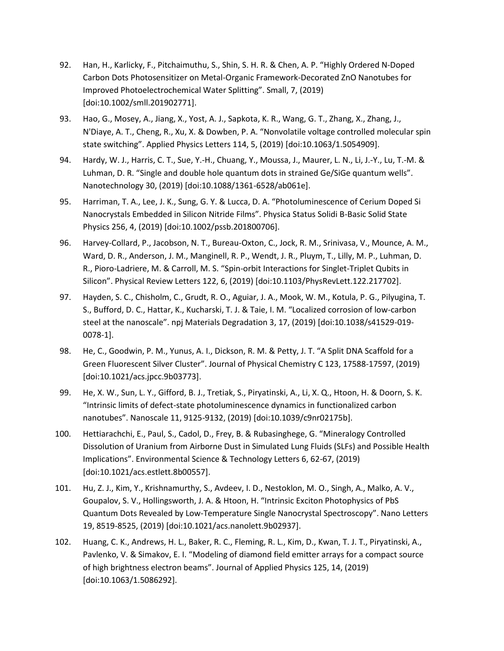- 92. Han, H., Karlicky, F., Pitchaimuthu, S., Shin, S. H. R. & Chen, A. P. "Highly Ordered N-Doped Carbon Dots Photosensitizer on Metal-Organic Framework-Decorated ZnO Nanotubes for Improved Photoelectrochemical Water Splitting". Small, 7, (2019) [doi:10.1002/smll.201902771].
- 93. Hao, G., Mosey, A., Jiang, X., Yost, A. J., Sapkota, K. R., Wang, G. T., Zhang, X., Zhang, J., N'Diaye, A. T., Cheng, R., Xu, X. & Dowben, P. A. "Nonvolatile voltage controlled molecular spin state switching". Applied Physics Letters 114, 5, (2019) [doi:10.1063/1.5054909].
- 94. Hardy, W. J., Harris, C. T., Sue, Y.-H., Chuang, Y., Moussa, J., Maurer, L. N., Li, J.-Y., Lu, T.-M. & Luhman, D. R. "Single and double hole quantum dots in strained Ge/SiGe quantum wells". Nanotechnology 30, (2019) [doi:10.1088/1361-6528/ab061e].
- 95. Harriman, T. A., Lee, J. K., Sung, G. Y. & Lucca, D. A. "Photoluminescence of Cerium Doped Si Nanocrystals Embedded in Silicon Nitride Films". Physica Status Solidi B-Basic Solid State Physics 256, 4, (2019) [doi:10.1002/pssb.201800706].
- 96. Harvey-Collard, P., Jacobson, N. T., Bureau-Oxton, C., Jock, R. M., Srinivasa, V., Mounce, A. M., Ward, D. R., Anderson, J. M., Manginell, R. P., Wendt, J. R., Pluym, T., Lilly, M. P., Luhman, D. R., Pioro-Ladriere, M. & Carroll, M. S. "Spin-orbit Interactions for Singlet-Triplet Qubits in Silicon". Physical Review Letters 122, 6, (2019) [doi:10.1103/PhysRevLett.122.217702].
- 97. Hayden, S. C., Chisholm, C., Grudt, R. O., Aguiar, J. A., Mook, W. M., Kotula, P. G., Pilyugina, T. S., Bufford, D. C., Hattar, K., Kucharski, T. J. & Taie, I. M. "Localized corrosion of low-carbon steel at the nanoscale". npj Materials Degradation 3, 17, (2019) [doi:10.1038/s41529-019- 0078-1].
- 98. He, C., Goodwin, P. M., Yunus, A. I., Dickson, R. M. & Petty, J. T. "A Split DNA Scaffold for a Green Fluorescent Silver Cluster". Journal of Physical Chemistry C 123, 17588-17597, (2019) [doi:10.1021/acs.jpcc.9b03773].
- 99. He, X. W., Sun, L. Y., Gifford, B. J., Tretiak, S., Piryatinski, A., Li, X. Q., Htoon, H. & Doorn, S. K. "Intrinsic limits of defect-state photoluminescence dynamics in functionalized carbon nanotubes". Nanoscale 11, 9125-9132, (2019) [doi:10.1039/c9nr02175b].
- 100. Hettiarachchi, E., Paul, S., Cadol, D., Frey, B. & Rubasinghege, G. "Mineralogy Controlled Dissolution of Uranium from Airborne Dust in Simulated Lung Fluids (SLFs) and Possible Health Implications". Environmental Science & Technology Letters 6, 62-67, (2019) [doi:10.1021/acs.estlett.8b00557].
- 101. Hu, Z. J., Kim, Y., Krishnamurthy, S., Avdeev, I. D., Nestoklon, M. O., Singh, A., Malko, A. V., Goupalov, S. V., Hollingsworth, J. A. & Htoon, H. "Intrinsic Exciton Photophysics of PbS Quantum Dots Revealed by Low-Temperature Single Nanocrystal Spectroscopy". Nano Letters 19, 8519-8525, (2019) [doi:10.1021/acs.nanolett.9b02937].
- 102. Huang, C. K., Andrews, H. L., Baker, R. C., Fleming, R. L., Kim, D., Kwan, T. J. T., Piryatinski, A., Pavlenko, V. & Simakov, E. I. "Modeling of diamond field emitter arrays for a compact source of high brightness electron beams". Journal of Applied Physics 125, 14, (2019) [doi:10.1063/1.5086292].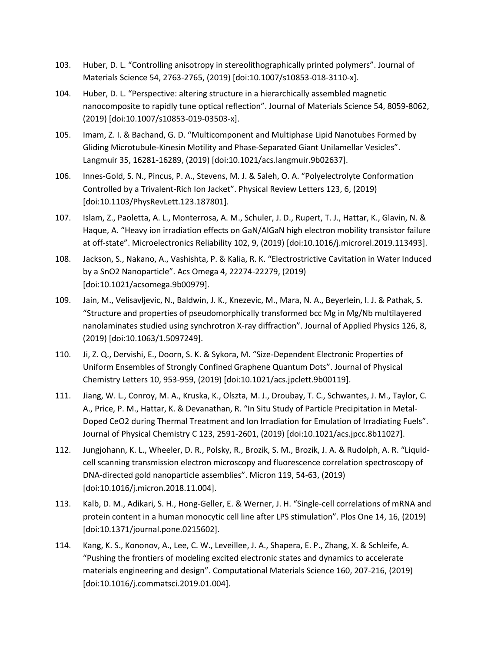- 103. Huber, D. L. "Controlling anisotropy in stereolithographically printed polymers". Journal of Materials Science 54, 2763-2765, (2019) [doi:10.1007/s10853-018-3110-x].
- 104. Huber, D. L. "Perspective: altering structure in a hierarchically assembled magnetic nanocomposite to rapidly tune optical reflection". Journal of Materials Science 54, 8059-8062, (2019) [doi:10.1007/s10853-019-03503-x].
- 105. Imam, Z. I. & Bachand, G. D. "Multicomponent and Multiphase Lipid Nanotubes Formed by Gliding Microtubule-Kinesin Motility and Phase-Separated Giant Unilamellar Vesicles". Langmuir 35, 16281-16289, (2019) [doi:10.1021/acs.langmuir.9b02637].
- 106. Innes-Gold, S. N., Pincus, P. A., Stevens, M. J. & Saleh, O. A. "Polyelectrolyte Conformation Controlled by a Trivalent-Rich Ion Jacket". Physical Review Letters 123, 6, (2019) [doi:10.1103/PhysRevLett.123.187801].
- 107. Islam, Z., Paoletta, A. L., Monterrosa, A. M., Schuler, J. D., Rupert, T. J., Hattar, K., Glavin, N. & Haque, A. "Heavy ion irradiation effects on GaN/AlGaN high electron mobility transistor failure at off-state". Microelectronics Reliability 102, 9, (2019) [doi:10.1016/j.microrel.2019.113493].
- 108. Jackson, S., Nakano, A., Vashishta, P. & Kalia, R. K. "Electrostrictive Cavitation in Water Induced by a SnO2 Nanoparticle". Acs Omega 4, 22274-22279, (2019) [doi:10.1021/acsomega.9b00979].
- 109. Jain, M., Velisavljevic, N., Baldwin, J. K., Knezevic, M., Mara, N. A., Beyerlein, I. J. & Pathak, S. "Structure and properties of pseudomorphically transformed bcc Mg in Mg/Nb multilayered nanolaminates studied using synchrotron X-ray diffraction". Journal of Applied Physics 126, 8, (2019) [doi:10.1063/1.5097249].
- 110. Ji, Z. Q., Dervishi, E., Doorn, S. K. & Sykora, M. "Size-Dependent Electronic Properties of Uniform Ensembles of Strongly Confined Graphene Quantum Dots". Journal of Physical Chemistry Letters 10, 953-959, (2019) [doi:10.1021/acs.jpclett.9b00119].
- 111. Jiang, W. L., Conroy, M. A., Kruska, K., Olszta, M. J., Droubay, T. C., Schwantes, J. M., Taylor, C. A., Price, P. M., Hattar, K. & Devanathan, R. "In Situ Study of Particle Precipitation in Metal-Doped CeO2 during Thermal Treatment and Ion Irradiation for Emulation of Irradiating Fuels". Journal of Physical Chemistry C 123, 2591-2601, (2019) [doi:10.1021/acs.jpcc.8b11027].
- 112. Jungjohann, K. L., Wheeler, D. R., Polsky, R., Brozik, S. M., Brozik, J. A. & Rudolph, A. R. "Liquidcell scanning transmission electron microscopy and fluorescence correlation spectroscopy of DNA-directed gold nanoparticle assemblies". Micron 119, 54-63, (2019) [doi:10.1016/j.micron.2018.11.004].
- 113. Kalb, D. M., Adikari, S. H., Hong-Geller, E. & Werner, J. H. "Single-cell correlations of mRNA and protein content in a human monocytic cell line after LPS stimulation". Plos One 14, 16, (2019) [doi:10.1371/journal.pone.0215602].
- 114. Kang, K. S., Kononov, A., Lee, C. W., Leveillee, J. A., Shapera, E. P., Zhang, X. & Schleife, A. "Pushing the frontiers of modeling excited electronic states and dynamics to accelerate materials engineering and design". Computational Materials Science 160, 207-216, (2019) [doi:10.1016/j.commatsci.2019.01.004].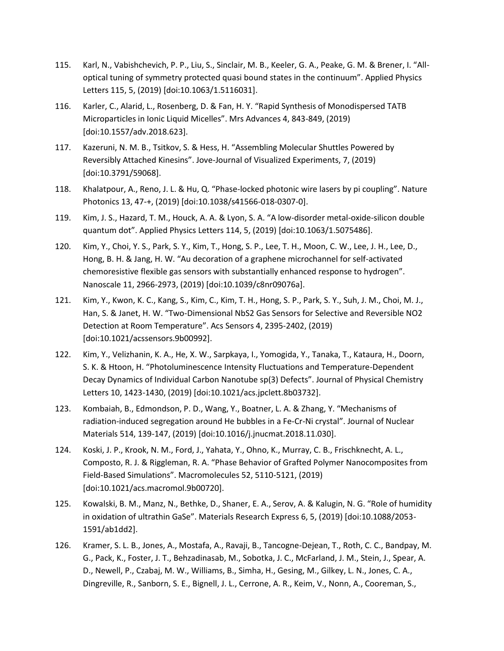- 115. Karl, N., Vabishchevich, P. P., Liu, S., Sinclair, M. B., Keeler, G. A., Peake, G. M. & Brener, I. "Alloptical tuning of symmetry protected quasi bound states in the continuum". Applied Physics Letters 115, 5, (2019) [doi:10.1063/1.5116031].
- 116. Karler, C., Alarid, L., Rosenberg, D. & Fan, H. Y. "Rapid Synthesis of Monodispersed TATB Microparticles in Ionic Liquid Micelles". Mrs Advances 4, 843-849, (2019) [doi:10.1557/adv.2018.623].
- 117. Kazeruni, N. M. B., Tsitkov, S. & Hess, H. "Assembling Molecular Shuttles Powered by Reversibly Attached Kinesins". Jove-Journal of Visualized Experiments, 7, (2019) [doi:10.3791/59068].
- 118. Khalatpour, A., Reno, J. L. & Hu, Q. "Phase-locked photonic wire lasers by pi coupling". Nature Photonics 13, 47-+, (2019) [doi:10.1038/s41566-018-0307-0].
- 119. Kim, J. S., Hazard, T. M., Houck, A. A. & Lyon, S. A. "A low-disorder metal-oxide-silicon double quantum dot". Applied Physics Letters 114, 5, (2019) [doi:10.1063/1.5075486].
- 120. Kim, Y., Choi, Y. S., Park, S. Y., Kim, T., Hong, S. P., Lee, T. H., Moon, C. W., Lee, J. H., Lee, D., Hong, B. H. & Jang, H. W. "Au decoration of a graphene microchannel for self-activated chemoresistive flexible gas sensors with substantially enhanced response to hydrogen". Nanoscale 11, 2966-2973, (2019) [doi:10.1039/c8nr09076a].
- 121. Kim, Y., Kwon, K. C., Kang, S., Kim, C., Kim, T. H., Hong, S. P., Park, S. Y., Suh, J. M., Choi, M. J., Han, S. & Janet, H. W. "Two-Dimensional NbS2 Gas Sensors for Selective and Reversible NO2 Detection at Room Temperature". Acs Sensors 4, 2395-2402, (2019) [doi:10.1021/acssensors.9b00992].
- 122. Kim, Y., Velizhanin, K. A., He, X. W., Sarpkaya, I., Yomogida, Y., Tanaka, T., Kataura, H., Doorn, S. K. & Htoon, H. "Photoluminescence Intensity Fluctuations and Temperature-Dependent Decay Dynamics of Individual Carbon Nanotube sp(3) Defects". Journal of Physical Chemistry Letters 10, 1423-1430, (2019) [doi:10.1021/acs.jpclett.8b03732].
- 123. Kombaiah, B., Edmondson, P. D., Wang, Y., Boatner, L. A. & Zhang, Y. "Mechanisms of radiation-induced segregation around He bubbles in a Fe-Cr-Ni crystal". Journal of Nuclear Materials 514, 139-147, (2019) [doi:10.1016/j.jnucmat.2018.11.030].
- 124. Koski, J. P., Krook, N. M., Ford, J., Yahata, Y., Ohno, K., Murray, C. B., Frischknecht, A. L., Composto, R. J. & Riggleman, R. A. "Phase Behavior of Grafted Polymer Nanocomposites from Field-Based Simulations". Macromolecules 52, 5110-5121, (2019) [doi:10.1021/acs.macromol.9b00720].
- 125. Kowalski, B. M., Manz, N., Bethke, D., Shaner, E. A., Serov, A. & Kalugin, N. G. "Role of humidity in oxidation of ultrathin GaSe". Materials Research Express 6, 5, (2019) [doi:10.1088/2053- 1591/ab1dd2].
- 126. Kramer, S. L. B., Jones, A., Mostafa, A., Ravaji, B., Tancogne-Dejean, T., Roth, C. C., Bandpay, M. G., Pack, K., Foster, J. T., Behzadinasab, M., Sobotka, J. C., McFarland, J. M., Stein, J., Spear, A. D., Newell, P., Czabaj, M. W., Williams, B., Simha, H., Gesing, M., Gilkey, L. N., Jones, C. A., Dingreville, R., Sanborn, S. E., Bignell, J. L., Cerrone, A. R., Keim, V., Nonn, A., Cooreman, S.,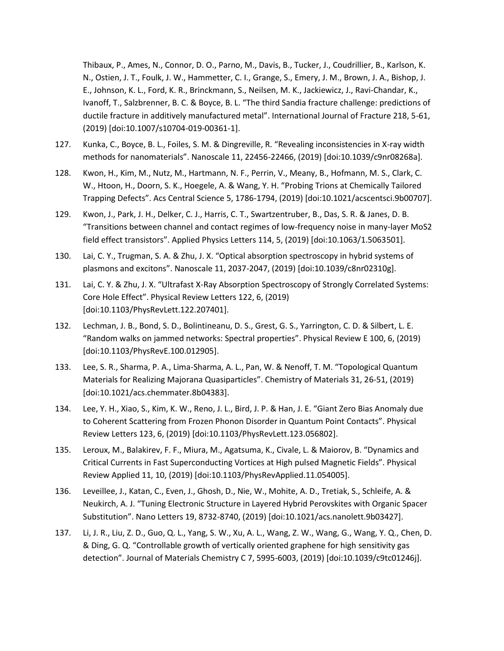Thibaux, P., Ames, N., Connor, D. O., Parno, M., Davis, B., Tucker, J., Coudrillier, B., Karlson, K. N., Ostien, J. T., Foulk, J. W., Hammetter, C. I., Grange, S., Emery, J. M., Brown, J. A., Bishop, J. E., Johnson, K. L., Ford, K. R., Brinckmann, S., Neilsen, M. K., Jackiewicz, J., Ravi-Chandar, K., Ivanoff, T., Salzbrenner, B. C. & Boyce, B. L. "The third Sandia fracture challenge: predictions of ductile fracture in additively manufactured metal". International Journal of Fracture 218, 5-61, (2019) [doi:10.1007/s10704-019-00361-1].

- 127. Kunka, C., Boyce, B. L., Foiles, S. M. & Dingreville, R. "Revealing inconsistencies in X-ray width methods for nanomaterials". Nanoscale 11, 22456-22466, (2019) [doi:10.1039/c9nr08268a].
- 128. Kwon, H., Kim, M., Nutz, M., Hartmann, N. F., Perrin, V., Meany, B., Hofmann, M. S., Clark, C. W., Htoon, H., Doorn, S. K., Hoegele, A. & Wang, Y. H. "Probing Trions at Chemically Tailored Trapping Defects". Acs Central Science 5, 1786-1794, (2019) [doi:10.1021/acscentsci.9b00707].
- 129. Kwon, J., Park, J. H., Delker, C. J., Harris, C. T., Swartzentruber, B., Das, S. R. & Janes, D. B. "Transitions between channel and contact regimes of low-frequency noise in many-layer MoS2 field effect transistors". Applied Physics Letters 114, 5, (2019) [doi:10.1063/1.5063501].
- 130. Lai, C. Y., Trugman, S. A. & Zhu, J. X. "Optical absorption spectroscopy in hybrid systems of plasmons and excitons". Nanoscale 11, 2037-2047, (2019) [doi:10.1039/c8nr02310g].
- 131. Lai, C. Y. & Zhu, J. X. "Ultrafast X-Ray Absorption Spectroscopy of Strongly Correlated Systems: Core Hole Effect". Physical Review Letters 122, 6, (2019) [doi:10.1103/PhysRevLett.122.207401].
- 132. Lechman, J. B., Bond, S. D., Bolintineanu, D. S., Grest, G. S., Yarrington, C. D. & Silbert, L. E. "Random walks on jammed networks: Spectral properties". Physical Review E 100, 6, (2019) [doi:10.1103/PhysRevE.100.012905].
- 133. Lee, S. R., Sharma, P. A., Lima-Sharma, A. L., Pan, W. & Nenoff, T. M. "Topological Quantum Materials for Realizing Majorana Quasiparticles". Chemistry of Materials 31, 26-51, (2019) [doi:10.1021/acs.chemmater.8b04383].
- 134. Lee, Y. H., Xiao, S., Kim, K. W., Reno, J. L., Bird, J. P. & Han, J. E. "Giant Zero Bias Anomaly due to Coherent Scattering from Frozen Phonon Disorder in Quantum Point Contacts". Physical Review Letters 123, 6, (2019) [doi:10.1103/PhysRevLett.123.056802].
- 135. Leroux, M., Balakirev, F. F., Miura, M., Agatsuma, K., Civale, L. & Maiorov, B. "Dynamics and Critical Currents in Fast Superconducting Vortices at High pulsed Magnetic Fields". Physical Review Applied 11, 10, (2019) [doi:10.1103/PhysRevApplied.11.054005].
- 136. Leveillee, J., Katan, C., Even, J., Ghosh, D., Nie, W., Mohite, A. D., Tretiak, S., Schleife, A. & Neukirch, A. J. "Tuning Electronic Structure in Layered Hybrid Perovskites with Organic Spacer Substitution". Nano Letters 19, 8732-8740, (2019) [doi:10.1021/acs.nanolett.9b03427].
- 137. Li, J. R., Liu, Z. D., Guo, Q. L., Yang, S. W., Xu, A. L., Wang, Z. W., Wang, G., Wang, Y. Q., Chen, D. & Ding, G. Q. "Controllable growth of vertically oriented graphene for high sensitivity gas detection". Journal of Materials Chemistry C 7, 5995-6003, (2019) [doi:10.1039/c9tc01246j].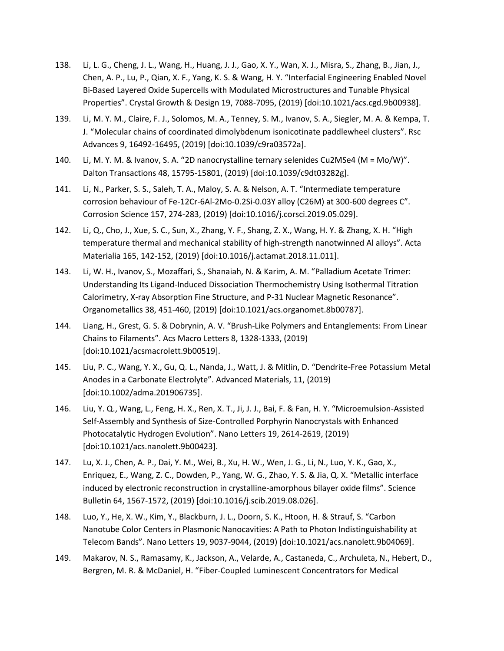- 138. Li, L. G., Cheng, J. L., Wang, H., Huang, J. J., Gao, X. Y., Wan, X. J., Misra, S., Zhang, B., Jian, J., Chen, A. P., Lu, P., Qian, X. F., Yang, K. S. & Wang, H. Y. "Interfacial Engineering Enabled Novel Bi-Based Layered Oxide Supercells with Modulated Microstructures and Tunable Physical Properties". Crystal Growth & Design 19, 7088-7095, (2019) [doi:10.1021/acs.cgd.9b00938].
- 139. Li, M. Y. M., Claire, F. J., Solomos, M. A., Tenney, S. M., Ivanov, S. A., Siegler, M. A. & Kempa, T. J. "Molecular chains of coordinated dimolybdenum isonicotinate paddlewheel clusters". Rsc Advances 9, 16492-16495, (2019) [doi:10.1039/c9ra03572a].
- 140. Li, M. Y. M. & Ivanov, S. A. "2D nanocrystalline ternary selenides Cu2MSe4 (M = Mo/W)". Dalton Transactions 48, 15795-15801, (2019) [doi:10.1039/c9dt03282g].
- 141. Li, N., Parker, S. S., Saleh, T. A., Maloy, S. A. & Nelson, A. T. "Intermediate temperature corrosion behaviour of Fe-12Cr-6Al-2Mo-0.2Si-0.03Y alloy (C26M) at 300-600 degrees C". Corrosion Science 157, 274-283, (2019) [doi:10.1016/j.corsci.2019.05.029].
- 142. Li, Q., Cho, J., Xue, S. C., Sun, X., Zhang, Y. F., Shang, Z. X., Wang, H. Y. & Zhang, X. H. "High temperature thermal and mechanical stability of high-strength nanotwinned Al alloys". Acta Materialia 165, 142-152, (2019) [doi:10.1016/j.actamat.2018.11.011].
- 143. Li, W. H., Ivanov, S., Mozaffari, S., Shanaiah, N. & Karim, A. M. "Palladium Acetate Trimer: Understanding Its Ligand-Induced Dissociation Thermochemistry Using Isothermal Titration Calorimetry, X-ray Absorption Fine Structure, and P-31 Nuclear Magnetic Resonance". Organometallics 38, 451-460, (2019) [doi:10.1021/acs.organomet.8b00787].
- 144. Liang, H., Grest, G. S. & Dobrynin, A. V. "Brush-Like Polymers and Entanglements: From Linear Chains to Filaments". Acs Macro Letters 8, 1328-1333, (2019) [doi:10.1021/acsmacrolett.9b00519].
- 145. Liu, P. C., Wang, Y. X., Gu, Q. L., Nanda, J., Watt, J. & Mitlin, D. "Dendrite-Free Potassium Metal Anodes in a Carbonate Electrolyte". Advanced Materials, 11, (2019) [doi:10.1002/adma.201906735].
- 146. Liu, Y. Q., Wang, L., Feng, H. X., Ren, X. T., Ji, J. J., Bai, F. & Fan, H. Y. "Microemulsion-Assisted Self-Assembly and Synthesis of Size-Controlled Porphyrin Nanocrystals with Enhanced Photocatalytic Hydrogen Evolution". Nano Letters 19, 2614-2619, (2019) [doi:10.1021/acs.nanolett.9b00423].
- 147. Lu, X. J., Chen, A. P., Dai, Y. M., Wei, B., Xu, H. W., Wen, J. G., Li, N., Luo, Y. K., Gao, X., Enriquez, E., Wang, Z. C., Dowden, P., Yang, W. G., Zhao, Y. S. & Jia, Q. X. "Metallic interface induced by electronic reconstruction in crystalline-amorphous bilayer oxide films". Science Bulletin 64, 1567-1572, (2019) [doi:10.1016/j.scib.2019.08.026].
- 148. Luo, Y., He, X. W., Kim, Y., Blackburn, J. L., Doorn, S. K., Htoon, H. & Strauf, S. "Carbon Nanotube Color Centers in Plasmonic Nanocavities: A Path to Photon Indistinguishability at Telecom Bands". Nano Letters 19, 9037-9044, (2019) [doi:10.1021/acs.nanolett.9b04069].
- 149. Makarov, N. S., Ramasamy, K., Jackson, A., Velarde, A., Castaneda, C., Archuleta, N., Hebert, D., Bergren, M. R. & McDaniel, H. "Fiber-Coupled Luminescent Concentrators for Medical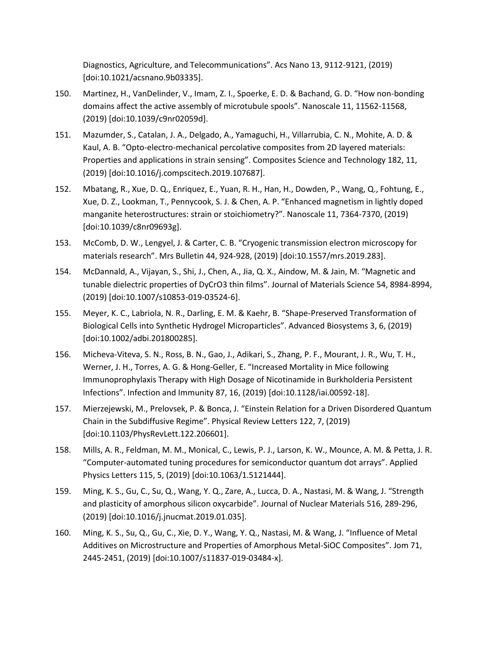Diagnostics, Agriculture, and Telecommunications". Acs Nano 13, 9112-9121, (2019) [doi:10.1021/acsnano.9b03335].

- 150. Martinez, H., VanDelinder, V., Imam, Z. I., Spoerke, E. D. & Bachand, G. D. "How non-bonding domains affect the active assembly of microtubule spools". Nanoscale 11, 11562-11568, (2019) [doi:10.1039/c9nr02059d].
- 151. Mazumder, S., Catalan, J. A., Delgado, A., Yamaguchi, H., Villarrubia, C. N., Mohite, A. D. & Kaul, A. B. "Opto-electro-mechanical percolative composites from 2D layered materials: Properties and applications in strain sensing". Composites Science and Technology 182, 11, (2019) [doi:10.1016/j.compscitech.2019.107687].
- 152. Mbatang, R., Xue, D. Q., Enriquez, E., Yuan, R. H., Han, H., Dowden, P., Wang, Q., Fohtung, E., Xue, D. Z., Lookman, T., Pennycook, S. J. & Chen, A. P. "Enhanced magnetism in lightly doped manganite heterostructures: strain or stoichiometry?". Nanoscale 11, 7364-7370, (2019) [doi:10.1039/c8nr09693g].
- 153. McComb, D. W., Lengyel, J. & Carter, C. B. "Cryogenic transmission electron microscopy for materials research". Mrs Bulletin 44, 924-928, (2019) [doi:10.1557/mrs.2019.283].
- 154. McDannald, A., Vijayan, S., Shi, J., Chen, A., Jia, Q. X., Aindow, M. & Jain, M. "Magnetic and tunable dielectric properties of DyCrO3 thin films". Journal of Materials Science 54, 8984-8994, (2019) [doi:10.1007/s10853-019-03524-6].
- 155. Meyer, K. C., Labriola, N. R., Darling, E. M. & Kaehr, B. "Shape-Preserved Transformation of Biological Cells into Synthetic Hydrogel Microparticles". Advanced Biosystems 3, 6, (2019) [doi:10.1002/adbi.201800285].
- 156. Micheva-Viteva, S. N., Ross, B. N., Gao, J., Adikari, S., Zhang, P. F., Mourant, J. R., Wu, T. H., Werner, J. H., Torres, A. G. & Hong-Geller, E. "Increased Mortality in Mice following Immunoprophylaxis Therapy with High Dosage of Nicotinamide in Burkholderia Persistent Infections". Infection and Immunity 87, 16, (2019) [doi:10.1128/iai.00592-18].
- 157. Mierzejewski, M., Prelovsek, P. & Bonca, J. "Einstein Relation for a Driven Disordered Quantum Chain in the Subdiffusive Regime". Physical Review Letters 122, 7, (2019) [doi:10.1103/PhysRevLett.122.206601].
- 158. Mills, A. R., Feldman, M. M., Monical, C., Lewis, P. J., Larson, K. W., Mounce, A. M. & Petta, J. R. "Computer-automated tuning procedures for semiconductor quantum dot arrays". Applied Physics Letters 115, 5, (2019) [doi:10.1063/1.5121444].
- 159. Ming, K. S., Gu, C., Su, Q., Wang, Y. Q., Zare, A., Lucca, D. A., Nastasi, M. & Wang, J. "Strength and plasticity of amorphous silicon oxycarbide". Journal of Nuclear Materials 516, 289-296, (2019) [doi:10.1016/j.jnucmat.2019.01.035].
- 160. Ming, K. S., Su, Q., Gu, C., Xie, D. Y., Wang, Y. Q., Nastasi, M. & Wang, J. "Influence of Metal Additives on Microstructure and Properties of Amorphous Metal-SiOC Composites". Jom 71, 2445-2451, (2019) [doi:10.1007/s11837-019-03484-x].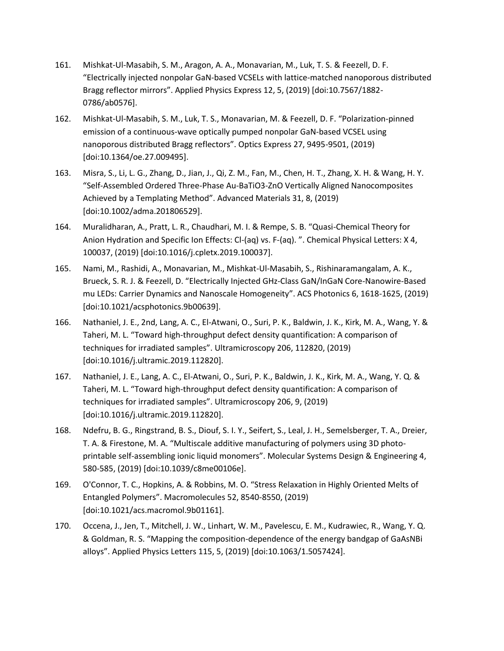- 161. Mishkat-Ul-Masabih, S. M., Aragon, A. A., Monavarian, M., Luk, T. S. & Feezell, D. F. "Electrically injected nonpolar GaN-based VCSELs with lattice-matched nanoporous distributed Bragg reflector mirrors". Applied Physics Express 12, 5, (2019) [doi:10.7567/1882- 0786/ab0576].
- 162. Mishkat-Ul-Masabih, S. M., Luk, T. S., Monavarian, M. & Feezell, D. F. "Polarization-pinned emission of a continuous-wave optically pumped nonpolar GaN-based VCSEL using nanoporous distributed Bragg reflectors". Optics Express 27, 9495-9501, (2019) [doi:10.1364/oe.27.009495].
- 163. Misra, S., Li, L. G., Zhang, D., Jian, J., Qi, Z. M., Fan, M., Chen, H. T., Zhang, X. H. & Wang, H. Y. "Self-Assembled Ordered Three-Phase Au-BaTiO3-ZnO Vertically Aligned Nanocomposites Achieved by a Templating Method". Advanced Materials 31, 8, (2019) [doi:10.1002/adma.201806529].
- 164. Muralidharan, A., Pratt, L. R., Chaudhari, M. I. & Rempe, S. B. "Quasi-Chemical Theory for Anion Hydration and Specific Ion Effects: Cl-(aq) vs. F-(aq). ". Chemical Physical Letters: X 4, 100037, (2019) [doi:10.1016/j.cpletx.2019.100037].
- 165. Nami, M., Rashidi, A., Monavarian, M., Mishkat-Ul-Masabih, S., Rishinaramangalam, A. K., Brueck, S. R. J. & Feezell, D. "Electrically Injected GHz-Class GaN/InGaN Core-Nanowire-Based mu LEDs: Carrier Dynamics and Nanoscale Homogeneity". ACS Photonics 6, 1618-1625, (2019) [doi:10.1021/acsphotonics.9b00639].
- 166. Nathaniel, J. E., 2nd, Lang, A. C., El-Atwani, O., Suri, P. K., Baldwin, J. K., Kirk, M. A., Wang, Y. & Taheri, M. L. "Toward high-throughput defect density quantification: A comparison of techniques for irradiated samples". Ultramicroscopy 206, 112820, (2019) [doi:10.1016/j.ultramic.2019.112820].
- 167. Nathaniel, J. E., Lang, A. C., El-Atwani, O., Suri, P. K., Baldwin, J. K., Kirk, M. A., Wang, Y. Q. & Taheri, M. L. "Toward high-throughput defect density quantification: A comparison of techniques for irradiated samples". Ultramicroscopy 206, 9, (2019) [doi:10.1016/j.ultramic.2019.112820].
- 168. Ndefru, B. G., Ringstrand, B. S., Diouf, S. I. Y., Seifert, S., Leal, J. H., Semelsberger, T. A., Dreier, T. A. & Firestone, M. A. "Multiscale additive manufacturing of polymers using 3D photoprintable self-assembling ionic liquid monomers". Molecular Systems Design & Engineering 4, 580-585, (2019) [doi:10.1039/c8me00106e].
- 169. O'Connor, T. C., Hopkins, A. & Robbins, M. O. "Stress Relaxation in Highly Oriented Melts of Entangled Polymers". Macromolecules 52, 8540-8550, (2019) [doi:10.1021/acs.macromol.9b01161].
- 170. Occena, J., Jen, T., Mitchell, J. W., Linhart, W. M., Pavelescu, E. M., Kudrawiec, R., Wang, Y. Q. & Goldman, R. S. "Mapping the composition-dependence of the energy bandgap of GaAsNBi alloys". Applied Physics Letters 115, 5, (2019) [doi:10.1063/1.5057424].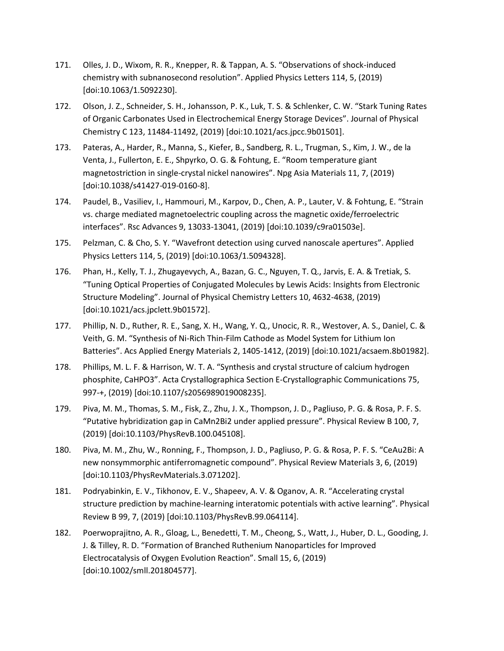- 171. Olles, J. D., Wixom, R. R., Knepper, R. & Tappan, A. S. "Observations of shock-induced chemistry with subnanosecond resolution". Applied Physics Letters 114, 5, (2019) [doi:10.1063/1.5092230].
- 172. Olson, J. Z., Schneider, S. H., Johansson, P. K., Luk, T. S. & Schlenker, C. W. "Stark Tuning Rates of Organic Carbonates Used in Electrochemical Energy Storage Devices". Journal of Physical Chemistry C 123, 11484-11492, (2019) [doi:10.1021/acs.jpcc.9b01501].
- 173. Pateras, A., Harder, R., Manna, S., Kiefer, B., Sandberg, R. L., Trugman, S., Kim, J. W., de la Venta, J., Fullerton, E. E., Shpyrko, O. G. & Fohtung, E. "Room temperature giant magnetostriction in single-crystal nickel nanowires". Npg Asia Materials 11, 7, (2019) [doi:10.1038/s41427-019-0160-8].
- 174. Paudel, B., Vasiliev, I., Hammouri, M., Karpov, D., Chen, A. P., Lauter, V. & Fohtung, E. "Strain vs. charge mediated magnetoelectric coupling across the magnetic oxide/ferroelectric interfaces". Rsc Advances 9, 13033-13041, (2019) [doi:10.1039/c9ra01503e].
- 175. Pelzman, C. & Cho, S. Y. "Wavefront detection using curved nanoscale apertures". Applied Physics Letters 114, 5, (2019) [doi:10.1063/1.5094328].
- 176. Phan, H., Kelly, T. J., Zhugayevych, A., Bazan, G. C., Nguyen, T. Q., Jarvis, E. A. & Tretiak, S. "Tuning Optical Properties of Conjugated Molecules by Lewis Acids: Insights from Electronic Structure Modeling". Journal of Physical Chemistry Letters 10, 4632-4638, (2019) [doi:10.1021/acs.jpclett.9b01572].
- 177. Phillip, N. D., Ruther, R. E., Sang, X. H., Wang, Y. Q., Unocic, R. R., Westover, A. S., Daniel, C. & Veith, G. M. "Synthesis of Ni-Rich Thin-Film Cathode as Model System for Lithium Ion Batteries". Acs Applied Energy Materials 2, 1405-1412, (2019) [doi:10.1021/acsaem.8b01982].
- 178. Phillips, M. L. F. & Harrison, W. T. A. "Synthesis and crystal structure of calcium hydrogen phosphite, CaHPO3". Acta Crystallographica Section E-Crystallographic Communications 75, 997-+, (2019) [doi:10.1107/s2056989019008235].
- 179. Piva, M. M., Thomas, S. M., Fisk, Z., Zhu, J. X., Thompson, J. D., Pagliuso, P. G. & Rosa, P. F. S. "Putative hybridization gap in CaMn2Bi2 under applied pressure". Physical Review B 100, 7, (2019) [doi:10.1103/PhysRevB.100.045108].
- 180. Piva, M. M., Zhu, W., Ronning, F., Thompson, J. D., Pagliuso, P. G. & Rosa, P. F. S. "CeAu2Bi: A new nonsymmorphic antiferromagnetic compound". Physical Review Materials 3, 6, (2019) [doi:10.1103/PhysRevMaterials.3.071202].
- 181. Podryabinkin, E. V., Tikhonov, E. V., Shapeev, A. V. & Oganov, A. R. "Accelerating crystal structure prediction by machine-learning interatomic potentials with active learning". Physical Review B 99, 7, (2019) [doi:10.1103/PhysRevB.99.064114].
- 182. Poerwoprajitno, A. R., Gloag, L., Benedetti, T. M., Cheong, S., Watt, J., Huber, D. L., Gooding, J. J. & Tilley, R. D. "Formation of Branched Ruthenium Nanoparticles for Improved Electrocatalysis of Oxygen Evolution Reaction". Small 15, 6, (2019) [doi:10.1002/smll.201804577].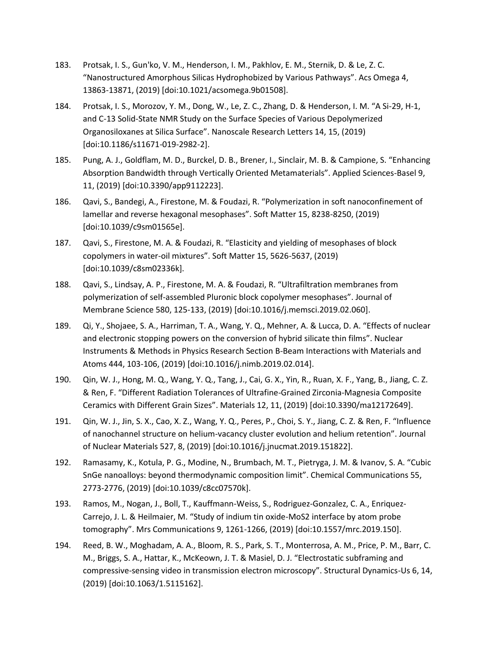- 183. Protsak, I. S., Gun'ko, V. M., Henderson, I. M., Pakhlov, E. M., Sternik, D. & Le, Z. C. "Nanostructured Amorphous Silicas Hydrophobized by Various Pathways". Acs Omega 4, 13863-13871, (2019) [doi:10.1021/acsomega.9b01508].
- 184. Protsak, I. S., Morozov, Y. M., Dong, W., Le, Z. C., Zhang, D. & Henderson, I. M. "A Si-29, H-1, and C-13 Solid-State NMR Study on the Surface Species of Various Depolymerized Organosiloxanes at Silica Surface". Nanoscale Research Letters 14, 15, (2019) [doi:10.1186/s11671-019-2982-2].
- 185. Pung, A. J., Goldflam, M. D., Burckel, D. B., Brener, I., Sinclair, M. B. & Campione, S. "Enhancing Absorption Bandwidth through Vertically Oriented Metamaterials". Applied Sciences-Basel 9, 11, (2019) [doi:10.3390/app9112223].
- 186. Qavi, S., Bandegi, A., Firestone, M. & Foudazi, R. "Polymerization in soft nanoconfinement of lamellar and reverse hexagonal mesophases". Soft Matter 15, 8238-8250, (2019) [doi:10.1039/c9sm01565e].
- 187. Qavi, S., Firestone, M. A. & Foudazi, R. "Elasticity and yielding of mesophases of block copolymers in water-oil mixtures". Soft Matter 15, 5626-5637, (2019) [doi:10.1039/c8sm02336k].
- 188. Qavi, S., Lindsay, A. P., Firestone, M. A. & Foudazi, R. "Ultrafiltration membranes from polymerization of self-assembled Pluronic block copolymer mesophases". Journal of Membrane Science 580, 125-133, (2019) [doi:10.1016/j.memsci.2019.02.060].
- 189. Qi, Y., Shojaee, S. A., Harriman, T. A., Wang, Y. Q., Mehner, A. & Lucca, D. A. "Effects of nuclear and electronic stopping powers on the conversion of hybrid silicate thin films". Nuclear Instruments & Methods in Physics Research Section B-Beam Interactions with Materials and Atoms 444, 103-106, (2019) [doi:10.1016/j.nimb.2019.02.014].
- 190. Qin, W. J., Hong, M. Q., Wang, Y. Q., Tang, J., Cai, G. X., Yin, R., Ruan, X. F., Yang, B., Jiang, C. Z. & Ren, F. "Different Radiation Tolerances of Ultrafine-Grained Zirconia-Magnesia Composite Ceramics with Different Grain Sizes". Materials 12, 11, (2019) [doi:10.3390/ma12172649].
- 191. Qin, W. J., Jin, S. X., Cao, X. Z., Wang, Y. Q., Peres, P., Choi, S. Y., Jiang, C. Z. & Ren, F. "Influence of nanochannel structure on helium-vacancy cluster evolution and helium retention". Journal of Nuclear Materials 527, 8, (2019) [doi:10.1016/j.jnucmat.2019.151822].
- 192. Ramasamy, K., Kotula, P. G., Modine, N., Brumbach, M. T., Pietryga, J. M. & Ivanov, S. A. "Cubic SnGe nanoalloys: beyond thermodynamic composition limit". Chemical Communications 55, 2773-2776, (2019) [doi:10.1039/c8cc07570k].
- 193. Ramos, M., Nogan, J., Boll, T., Kauffmann-Weiss, S., Rodriguez-Gonzalez, C. A., Enriquez-Carrejo, J. L. & Heilmaier, M. "Study of indium tin oxide-MoS2 interface by atom probe tomography". Mrs Communications 9, 1261-1266, (2019) [doi:10.1557/mrc.2019.150].
- 194. Reed, B. W., Moghadam, A. A., Bloom, R. S., Park, S. T., Monterrosa, A. M., Price, P. M., Barr, C. M., Briggs, S. A., Hattar, K., McKeown, J. T. & Masiel, D. J. "Electrostatic subframing and compressive-sensing video in transmission electron microscopy". Structural Dynamics-Us 6, 14, (2019) [doi:10.1063/1.5115162].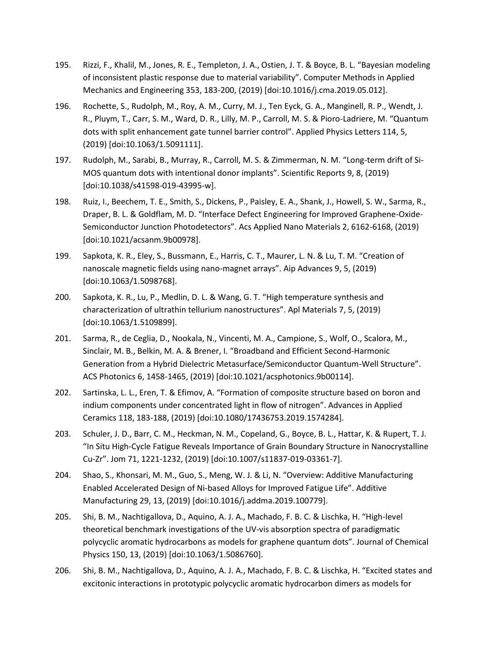- 195. Rizzi, F., Khalil, M., Jones, R. E., Templeton, J. A., Ostien, J. T. & Boyce, B. L. "Bayesian modeling of inconsistent plastic response due to material variability". Computer Methods in Applied Mechanics and Engineering 353, 183-200, (2019) [doi:10.1016/j.cma.2019.05.012].
- 196. Rochette, S., Rudolph, M., Roy, A. M., Curry, M. J., Ten Eyck, G. A., Manginell, R. P., Wendt, J. R., Pluym, T., Carr, S. M., Ward, D. R., Lilly, M. P., Carroll, M. S. & Pioro-Ladriere, M. "Quantum dots with split enhancement gate tunnel barrier control". Applied Physics Letters 114, 5, (2019) [doi:10.1063/1.5091111].
- 197. Rudolph, M., Sarabi, B., Murray, R., Carroll, M. S. & Zimmerman, N. M. "Long-term drift of Si-MOS quantum dots with intentional donor implants". Scientific Reports 9, 8, (2019) [doi:10.1038/s41598-019-43995-w].
- 198. Ruiz, I., Beechem, T. E., Smith, S., Dickens, P., Paisley, E. A., Shank, J., Howell, S. W., Sarma, R., Draper, B. L. & Goldflam, M. D. "Interface Defect Engineering for Improved Graphene-Oxide-Semiconductor Junction Photodetectors". Acs Applied Nano Materials 2, 6162-6168, (2019) [doi:10.1021/acsanm.9b00978].
- 199. Sapkota, K. R., Eley, S., Bussmann, E., Harris, C. T., Maurer, L. N. & Lu, T. M. "Creation of nanoscale magnetic fields using nano-magnet arrays". Aip Advances 9, 5, (2019) [doi:10.1063/1.5098768].
- 200. Sapkota, K. R., Lu, P., Medlin, D. L. & Wang, G. T. "High temperature synthesis and characterization of ultrathin tellurium nanostructures". Apl Materials 7, 5, (2019) [doi:10.1063/1.5109899].
- 201. Sarma, R., de Ceglia, D., Nookala, N., Vincenti, M. A., Campione, S., Wolf, O., Scalora, M., Sinclair, M. B., Belkin, M. A. & Brener, I. "Broadband and Efficient Second-Harmonic Generation from a Hybrid Dielectric Metasurface/Semiconductor Quantum-Well Structure". ACS Photonics 6, 1458-1465, (2019) [doi:10.1021/acsphotonics.9b00114].
- 202. Sartinska, L. L., Eren, T. & Efimov, A. "Formation of composite structure based on boron and indium components under concentrated light in flow of nitrogen". Advances in Applied Ceramics 118, 183-188, (2019) [doi:10.1080/17436753.2019.1574284].
- 203. Schuler, J. D., Barr, C. M., Heckman, N. M., Copeland, G., Boyce, B. L., Hattar, K. & Rupert, T. J. "In Situ High-Cycle Fatigue Reveals Importance of Grain Boundary Structure in Nanocrystalline Cu-Zr". Jom 71, 1221-1232, (2019) [doi:10.1007/s11837-019-03361-7].
- 204. Shao, S., Khonsari, M. M., Guo, S., Meng, W. J. & Li, N. "Overview: Additive Manufacturing Enabled Accelerated Design of Ni-based Alloys for Improved Fatigue Life". Additive Manufacturing 29, 13, (2019) [doi:10.1016/j.addma.2019.100779].
- 205. Shi, B. M., Nachtigallova, D., Aquino, A. J. A., Machado, F. B. C. & Lischka, H. "High-level theoretical benchmark investigations of the UV-vis absorption spectra of paradigmatic polycyclic aromatic hydrocarbons as models for graphene quantum dots". Journal of Chemical Physics 150, 13, (2019) [doi:10.1063/1.5086760].
- 206. Shi, B. M., Nachtigallova, D., Aquino, A. J. A., Machado, F. B. C. & Lischka, H. "Excited states and excitonic interactions in prototypic polycyclic aromatic hydrocarbon dimers as models for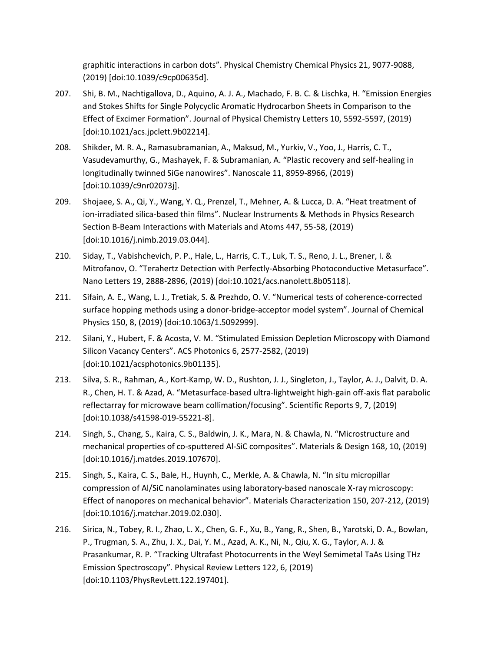graphitic interactions in carbon dots". Physical Chemistry Chemical Physics 21, 9077-9088, (2019) [doi:10.1039/c9cp00635d].

- 207. Shi, B. M., Nachtigallova, D., Aquino, A. J. A., Machado, F. B. C. & Lischka, H. "Emission Energies and Stokes Shifts for Single Polycyclic Aromatic Hydrocarbon Sheets in Comparison to the Effect of Excimer Formation". Journal of Physical Chemistry Letters 10, 5592-5597, (2019) [doi:10.1021/acs.jpclett.9b02214].
- 208. Shikder, M. R. A., Ramasubramanian, A., Maksud, M., Yurkiv, V., Yoo, J., Harris, C. T., Vasudevamurthy, G., Mashayek, F. & Subramanian, A. "Plastic recovery and self-healing in longitudinally twinned SiGe nanowires". Nanoscale 11, 8959-8966, (2019) [doi:10.1039/c9nr02073j].
- 209. Shojaee, S. A., Qi, Y., Wang, Y. Q., Prenzel, T., Mehner, A. & Lucca, D. A. "Heat treatment of ion-irradiated silica-based thin films". Nuclear Instruments & Methods in Physics Research Section B-Beam Interactions with Materials and Atoms 447, 55-58, (2019) [doi:10.1016/j.nimb.2019.03.044].
- 210. Siday, T., Vabishchevich, P. P., Hale, L., Harris, C. T., Luk, T. S., Reno, J. L., Brener, I. & Mitrofanov, O. "Terahertz Detection with Perfectly-Absorbing Photoconductive Metasurface". Nano Letters 19, 2888-2896, (2019) [doi:10.1021/acs.nanolett.8b05118].
- 211. Sifain, A. E., Wang, L. J., Tretiak, S. & Prezhdo, O. V. "Numerical tests of coherence-corrected surface hopping methods using a donor-bridge-acceptor model system". Journal of Chemical Physics 150, 8, (2019) [doi:10.1063/1.5092999].
- 212. Silani, Y., Hubert, F. & Acosta, V. M. "Stimulated Emission Depletion Microscopy with Diamond Silicon Vacancy Centers". ACS Photonics 6, 2577-2582, (2019) [doi:10.1021/acsphotonics.9b01135].
- 213. Silva, S. R., Rahman, A., Kort-Kamp, W. D., Rushton, J. J., Singleton, J., Taylor, A. J., Dalvit, D. A. R., Chen, H. T. & Azad, A. "Metasurface-based ultra-lightweight high-gain off-axis flat parabolic reflectarray for microwave beam collimation/focusing". Scientific Reports 9, 7, (2019) [doi:10.1038/s41598-019-55221-8].
- 214. Singh, S., Chang, S., Kaira, C. S., Baldwin, J. K., Mara, N. & Chawla, N. "Microstructure and mechanical properties of co-sputtered Al-SiC composites". Materials & Design 168, 10, (2019) [doi:10.1016/j.matdes.2019.107670].
- 215. Singh, S., Kaira, C. S., Bale, H., Huynh, C., Merkle, A. & Chawla, N. "In situ micropillar compression of Al/SiC nanolaminates using laboratory-based nanoscale X-ray microscopy: Effect of nanopores on mechanical behavior". Materials Characterization 150, 207-212, (2019) [doi:10.1016/j.matchar.2019.02.030].
- 216. Sirica, N., Tobey, R. I., Zhao, L. X., Chen, G. F., Xu, B., Yang, R., Shen, B., Yarotski, D. A., Bowlan, P., Trugman, S. A., Zhu, J. X., Dai, Y. M., Azad, A. K., Ni, N., Qiu, X. G., Taylor, A. J. & Prasankumar, R. P. "Tracking Ultrafast Photocurrents in the Weyl Semimetal TaAs Using THz Emission Spectroscopy". Physical Review Letters 122, 6, (2019) [doi:10.1103/PhysRevLett.122.197401].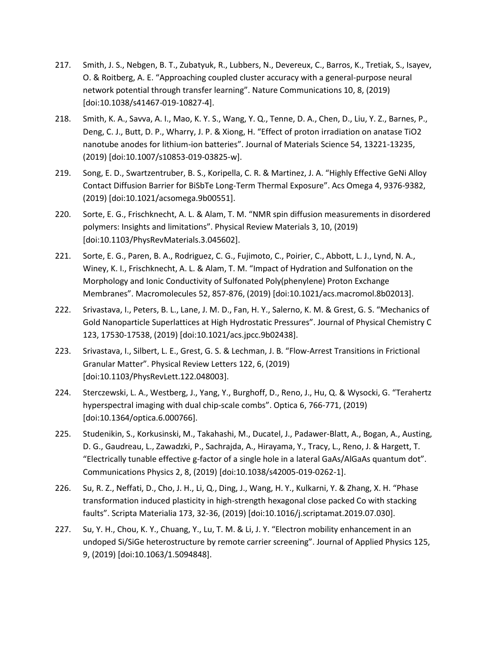- 217. Smith, J. S., Nebgen, B. T., Zubatyuk, R., Lubbers, N., Devereux, C., Barros, K., Tretiak, S., Isayev, O. & Roitberg, A. E. "Approaching coupled cluster accuracy with a general-purpose neural network potential through transfer learning". Nature Communications 10, 8, (2019) [doi:10.1038/s41467-019-10827-4].
- 218. Smith, K. A., Savva, A. I., Mao, K. Y. S., Wang, Y. Q., Tenne, D. A., Chen, D., Liu, Y. Z., Barnes, P., Deng, C. J., Butt, D. P., Wharry, J. P. & Xiong, H. "Effect of proton irradiation on anatase TiO2 nanotube anodes for lithium-ion batteries". Journal of Materials Science 54, 13221-13235, (2019) [doi:10.1007/s10853-019-03825-w].
- 219. Song, E. D., Swartzentruber, B. S., Koripella, C. R. & Martinez, J. A. "Highly Effective GeNi Alloy Contact Diffusion Barrier for BiSbTe Long-Term Thermal Exposure". Acs Omega 4, 9376-9382, (2019) [doi:10.1021/acsomega.9b00551].
- 220. Sorte, E. G., Frischknecht, A. L. & Alam, T. M. "NMR spin diffusion measurements in disordered polymers: Insights and limitations". Physical Review Materials 3, 10, (2019) [doi:10.1103/PhysRevMaterials.3.045602].
- 221. Sorte, E. G., Paren, B. A., Rodriguez, C. G., Fujimoto, C., Poirier, C., Abbott, L. J., Lynd, N. A., Winey, K. I., Frischknecht, A. L. & Alam, T. M. "Impact of Hydration and Sulfonation on the Morphology and Ionic Conductivity of Sulfonated Poly(phenylene) Proton Exchange Membranes". Macromolecules 52, 857-876, (2019) [doi:10.1021/acs.macromol.8b02013].
- 222. Srivastava, I., Peters, B. L., Lane, J. M. D., Fan, H. Y., Salerno, K. M. & Grest, G. S. "Mechanics of Gold Nanoparticle Superlattices at High Hydrostatic Pressures". Journal of Physical Chemistry C 123, 17530-17538, (2019) [doi:10.1021/acs.jpcc.9b02438].
- 223. Srivastava, I., Silbert, L. E., Grest, G. S. & Lechman, J. B. "Flow-Arrest Transitions in Frictional Granular Matter". Physical Review Letters 122, 6, (2019) [doi:10.1103/PhysRevLett.122.048003].
- 224. Sterczewski, L. A., Westberg, J., Yang, Y., Burghoff, D., Reno, J., Hu, Q. & Wysocki, G. "Terahertz hyperspectral imaging with dual chip-scale combs". Optica 6, 766-771, (2019) [doi:10.1364/optica.6.000766].
- 225. Studenikin, S., Korkusinski, M., Takahashi, M., Ducatel, J., Padawer-Blatt, A., Bogan, A., Austing, D. G., Gaudreau, L., Zawadzki, P., Sachrajda, A., Hirayama, Y., Tracy, L., Reno, J. & Hargett, T. "Electrically tunable effective g-factor of a single hole in a lateral GaAs/AlGaAs quantum dot". Communications Physics 2, 8, (2019) [doi:10.1038/s42005-019-0262-1].
- 226. Su, R. Z., Neffati, D., Cho, J. H., Li, Q., Ding, J., Wang, H. Y., Kulkarni, Y. & Zhang, X. H. "Phase transformation induced plasticity in high-strength hexagonal close packed Co with stacking faults". Scripta Materialia 173, 32-36, (2019) [doi:10.1016/j.scriptamat.2019.07.030].
- 227. Su, Y. H., Chou, K. Y., Chuang, Y., Lu, T. M. & Li, J. Y. "Electron mobility enhancement in an undoped Si/SiGe heterostructure by remote carrier screening". Journal of Applied Physics 125, 9, (2019) [doi:10.1063/1.5094848].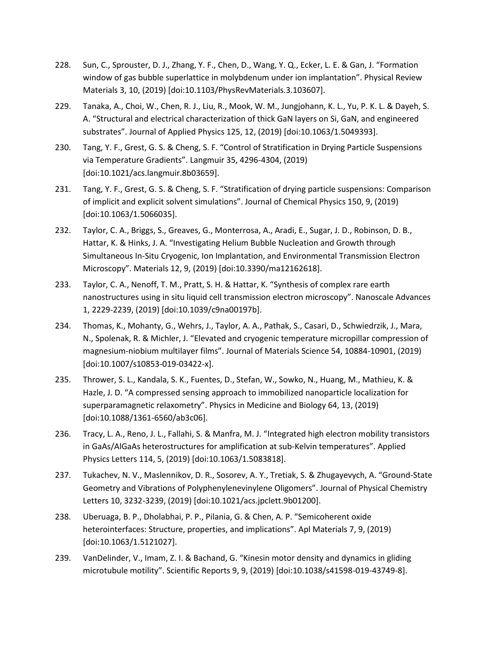- 228. Sun, C., Sprouster, D. J., Zhang, Y. F., Chen, D., Wang, Y. Q., Ecker, L. E. & Gan, J. "Formation window of gas bubble superlattice in molybdenum under ion implantation". Physical Review Materials 3, 10, (2019) [doi:10.1103/PhysRevMaterials.3.103607].
- 229. Tanaka, A., Choi, W., Chen, R. J., Liu, R., Mook, W. M., Jungjohann, K. L., Yu, P. K. L. & Dayeh, S. A. "Structural and electrical characterization of thick GaN layers on Si, GaN, and engineered substrates". Journal of Applied Physics 125, 12, (2019) [doi:10.1063/1.5049393].
- 230. Tang, Y. F., Grest, G. S. & Cheng, S. F. "Control of Stratification in Drying Particle Suspensions via Temperature Gradients". Langmuir 35, 4296-4304, (2019) [doi:10.1021/acs.langmuir.8b03659].
- 231. Tang, Y. F., Grest, G. S. & Cheng, S. F. "Stratification of drying particle suspensions: Comparison of implicit and explicit solvent simulations". Journal of Chemical Physics 150, 9, (2019) [doi:10.1063/1.5066035].
- 232. Taylor, C. A., Briggs, S., Greaves, G., Monterrosa, A., Aradi, E., Sugar, J. D., Robinson, D. B., Hattar, K. & Hinks, J. A. "Investigating Helium Bubble Nucleation and Growth through Simultaneous In-Situ Cryogenic, Ion Implantation, and Environmental Transmission Electron Microscopy". Materials 12, 9, (2019) [doi:10.3390/ma12162618].
- 233. Taylor, C. A., Nenoff, T. M., Pratt, S. H. & Hattar, K. "Synthesis of complex rare earth nanostructures using in situ liquid cell transmission electron microscopy". Nanoscale Advances 1, 2229-2239, (2019) [doi:10.1039/c9na00197b].
- 234. Thomas, K., Mohanty, G., Wehrs, J., Taylor, A. A., Pathak, S., Casari, D., Schwiedrzik, J., Mara, N., Spolenak, R. & Michler, J. "Elevated and cryogenic temperature micropillar compression of magnesium-niobium multilayer films". Journal of Materials Science 54, 10884-10901, (2019) [doi:10.1007/s10853-019-03422-x].
- 235. Thrower, S. L., Kandala, S. K., Fuentes, D., Stefan, W., Sowko, N., Huang, M., Mathieu, K. & Hazle, J. D. "A compressed sensing approach to immobilized nanoparticle localization for superparamagnetic relaxometry". Physics in Medicine and Biology 64, 13, (2019) [doi:10.1088/1361-6560/ab3c06].
- 236. Tracy, L. A., Reno, J. L., Fallahi, S. & Manfra, M. J. "Integrated high electron mobility transistors in GaAs/AlGaAs heterostructures for amplification at sub-Kelvin temperatures". Applied Physics Letters 114, 5, (2019) [doi:10.1063/1.5083818].
- 237. Tukachev, N. V., Maslennikov, D. R., Sosorev, A. Y., Tretiak, S. & Zhugayevych, A. "Ground-State Geometry and Vibrations of Polyphenylenevinylene Oligomers". Journal of Physical Chemistry Letters 10, 3232-3239, (2019) [doi:10.1021/acs.jpclett.9b01200].
- 238. Uberuaga, B. P., Dholabhai, P. P., Pilania, G. & Chen, A. P. "Semicoherent oxide heterointerfaces: Structure, properties, and implications". Apl Materials 7, 9, (2019) [doi:10.1063/1.5121027].
- 239. VanDelinder, V., Imam, Z. I. & Bachand, G. "Kinesin motor density and dynamics in gliding microtubule motility". Scientific Reports 9, 9, (2019) [doi:10.1038/s41598-019-43749-8].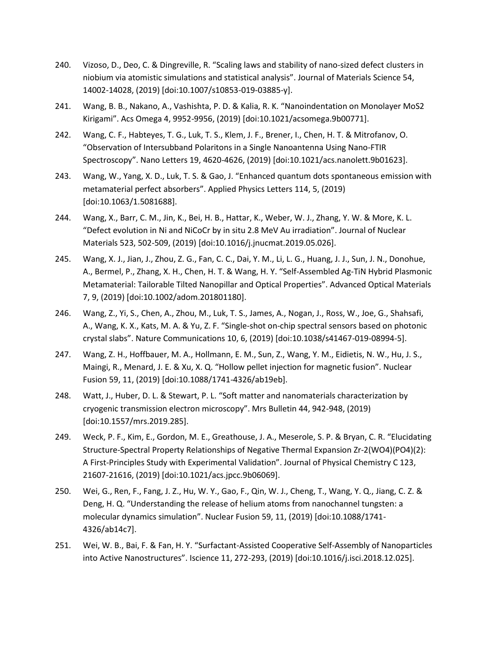- 240. Vizoso, D., Deo, C. & Dingreville, R. "Scaling laws and stability of nano-sized defect clusters in niobium via atomistic simulations and statistical analysis". Journal of Materials Science 54, 14002-14028, (2019) [doi:10.1007/s10853-019-03885-y].
- 241. Wang, B. B., Nakano, A., Vashishta, P. D. & Kalia, R. K. "Nanoindentation on Monolayer MoS2 Kirigami". Acs Omega 4, 9952-9956, (2019) [doi:10.1021/acsomega.9b00771].
- 242. Wang, C. F., Habteyes, T. G., Luk, T. S., Klem, J. F., Brener, I., Chen, H. T. & Mitrofanov, O. "Observation of Intersubband Polaritons in a Single Nanoantenna Using Nano-FTIR Spectroscopy". Nano Letters 19, 4620-4626, (2019) [doi:10.1021/acs.nanolett.9b01623].
- 243. Wang, W., Yang, X. D., Luk, T. S. & Gao, J. "Enhanced quantum dots spontaneous emission with metamaterial perfect absorbers". Applied Physics Letters 114, 5, (2019) [doi:10.1063/1.5081688].
- 244. Wang, X., Barr, C. M., Jin, K., Bei, H. B., Hattar, K., Weber, W. J., Zhang, Y. W. & More, K. L. "Defect evolution in Ni and NiCoCr by in situ 2.8 MeV Au irradiation". Journal of Nuclear Materials 523, 502-509, (2019) [doi:10.1016/j.jnucmat.2019.05.026].
- 245. Wang, X. J., Jian, J., Zhou, Z. G., Fan, C. C., Dai, Y. M., Li, L. G., Huang, J. J., Sun, J. N., Donohue, A., Bermel, P., Zhang, X. H., Chen, H. T. & Wang, H. Y. "Self-Assembled Ag-TiN Hybrid Plasmonic Metamaterial: Tailorable Tilted Nanopillar and Optical Properties". Advanced Optical Materials 7, 9, (2019) [doi:10.1002/adom.201801180].
- 246. Wang, Z., Yi, S., Chen, A., Zhou, M., Luk, T. S., James, A., Nogan, J., Ross, W., Joe, G., Shahsafi, A., Wang, K. X., Kats, M. A. & Yu, Z. F. "Single-shot on-chip spectral sensors based on photonic crystal slabs". Nature Communications 10, 6, (2019) [doi:10.1038/s41467-019-08994-5].
- 247. Wang, Z. H., Hoffbauer, M. A., Hollmann, E. M., Sun, Z., Wang, Y. M., Eidietis, N. W., Hu, J. S., Maingi, R., Menard, J. E. & Xu, X. Q. "Hollow pellet injection for magnetic fusion". Nuclear Fusion 59, 11, (2019) [doi:10.1088/1741-4326/ab19eb].
- 248. Watt, J., Huber, D. L. & Stewart, P. L. "Soft matter and nanomaterials characterization by cryogenic transmission electron microscopy". Mrs Bulletin 44, 942-948, (2019) [doi:10.1557/mrs.2019.285].
- 249. Weck, P. F., Kim, E., Gordon, M. E., Greathouse, J. A., Meserole, S. P. & Bryan, C. R. "Elucidating Structure-Spectral Property Relationships of Negative Thermal Expansion Zr-2(WO4)(PO4)(2): A First-Principles Study with Experimental Validation". Journal of Physical Chemistry C 123, 21607-21616, (2019) [doi:10.1021/acs.jpcc.9b06069].
- 250. Wei, G., Ren, F., Fang, J. Z., Hu, W. Y., Gao, F., Qin, W. J., Cheng, T., Wang, Y. Q., Jiang, C. Z. & Deng, H. Q. "Understanding the release of helium atoms from nanochannel tungsten: a molecular dynamics simulation". Nuclear Fusion 59, 11, (2019) [doi:10.1088/1741- 4326/ab14c7].
- 251. Wei, W. B., Bai, F. & Fan, H. Y. "Surfactant-Assisted Cooperative Self-Assembly of Nanoparticles into Active Nanostructures". Iscience 11, 272-293, (2019) [doi:10.1016/j.isci.2018.12.025].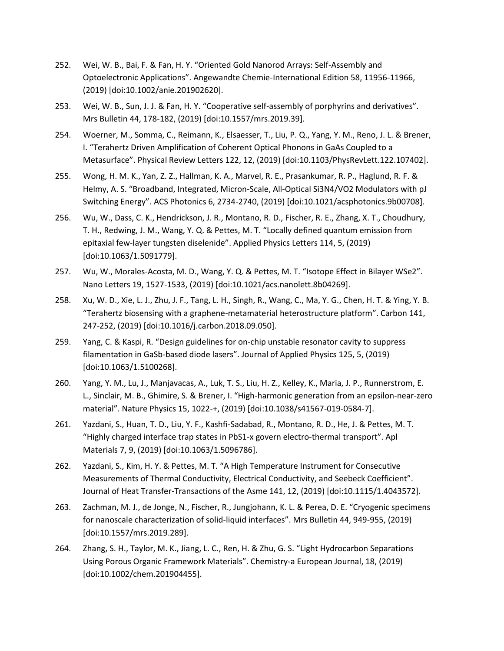- 252. Wei, W. B., Bai, F. & Fan, H. Y. "Oriented Gold Nanorod Arrays: Self-Assembly and Optoelectronic Applications". Angewandte Chemie-International Edition 58, 11956-11966, (2019) [doi:10.1002/anie.201902620].
- 253. Wei, W. B., Sun, J. J. & Fan, H. Y. "Cooperative self-assembly of porphyrins and derivatives". Mrs Bulletin 44, 178-182, (2019) [doi:10.1557/mrs.2019.39].
- 254. Woerner, M., Somma, C., Reimann, K., Elsaesser, T., Liu, P. Q., Yang, Y. M., Reno, J. L. & Brener, I. "Terahertz Driven Amplification of Coherent Optical Phonons in GaAs Coupled to a Metasurface". Physical Review Letters 122, 12, (2019) [doi:10.1103/PhysRevLett.122.107402].
- 255. Wong, H. M. K., Yan, Z. Z., Hallman, K. A., Marvel, R. E., Prasankumar, R. P., Haglund, R. F. & Helmy, A. S. "Broadband, Integrated, Micron-Scale, All-Optical Si3N4/VO2 Modulators with pJ Switching Energy". ACS Photonics 6, 2734-2740, (2019) [doi:10.1021/acsphotonics.9b00708].
- 256. Wu, W., Dass, C. K., Hendrickson, J. R., Montano, R. D., Fischer, R. E., Zhang, X. T., Choudhury, T. H., Redwing, J. M., Wang, Y. Q. & Pettes, M. T. "Locally defined quantum emission from epitaxial few-layer tungsten diselenide". Applied Physics Letters 114, 5, (2019) [doi:10.1063/1.5091779].
- 257. Wu, W., Morales-Acosta, M. D., Wang, Y. Q. & Pettes, M. T. "Isotope Effect in Bilayer WSe2". Nano Letters 19, 1527-1533, (2019) [doi:10.1021/acs.nanolett.8b04269].
- 258. Xu, W. D., Xie, L. J., Zhu, J. F., Tang, L. H., Singh, R., Wang, C., Ma, Y. G., Chen, H. T. & Ying, Y. B. "Terahertz biosensing with a graphene-metamaterial heterostructure platform". Carbon 141, 247-252, (2019) [doi:10.1016/j.carbon.2018.09.050].
- 259. Yang, C. & Kaspi, R. "Design guidelines for on-chip unstable resonator cavity to suppress filamentation in GaSb-based diode lasers". Journal of Applied Physics 125, 5, (2019) [doi:10.1063/1.5100268].
- 260. Yang, Y. M., Lu, J., Manjavacas, A., Luk, T. S., Liu, H. Z., Kelley, K., Maria, J. P., Runnerstrom, E. L., Sinclair, M. B., Ghimire, S. & Brener, I. "High-harmonic generation from an epsilon-near-zero material". Nature Physics 15, 1022-+, (2019) [doi:10.1038/s41567-019-0584-7].
- 261. Yazdani, S., Huan, T. D., Liu, Y. F., Kashfi-Sadabad, R., Montano, R. D., He, J. & Pettes, M. T. "Highly charged interface trap states in PbS1-x govern electro-thermal transport". Apl Materials 7, 9, (2019) [doi:10.1063/1.5096786].
- 262. Yazdani, S., Kim, H. Y. & Pettes, M. T. "A High Temperature Instrument for Consecutive Measurements of Thermal Conductivity, Electrical Conductivity, and Seebeck Coefficient". Journal of Heat Transfer-Transactions of the Asme 141, 12, (2019) [doi:10.1115/1.4043572].
- 263. Zachman, M. J., de Jonge, N., Fischer, R., Jungjohann, K. L. & Perea, D. E. "Cryogenic specimens for nanoscale characterization of solid-liquid interfaces". Mrs Bulletin 44, 949-955, (2019) [doi:10.1557/mrs.2019.289].
- 264. Zhang, S. H., Taylor, M. K., Jiang, L. C., Ren, H. & Zhu, G. S. "Light Hydrocarbon Separations Using Porous Organic Framework Materials". Chemistry-a European Journal, 18, (2019) [doi:10.1002/chem.201904455].